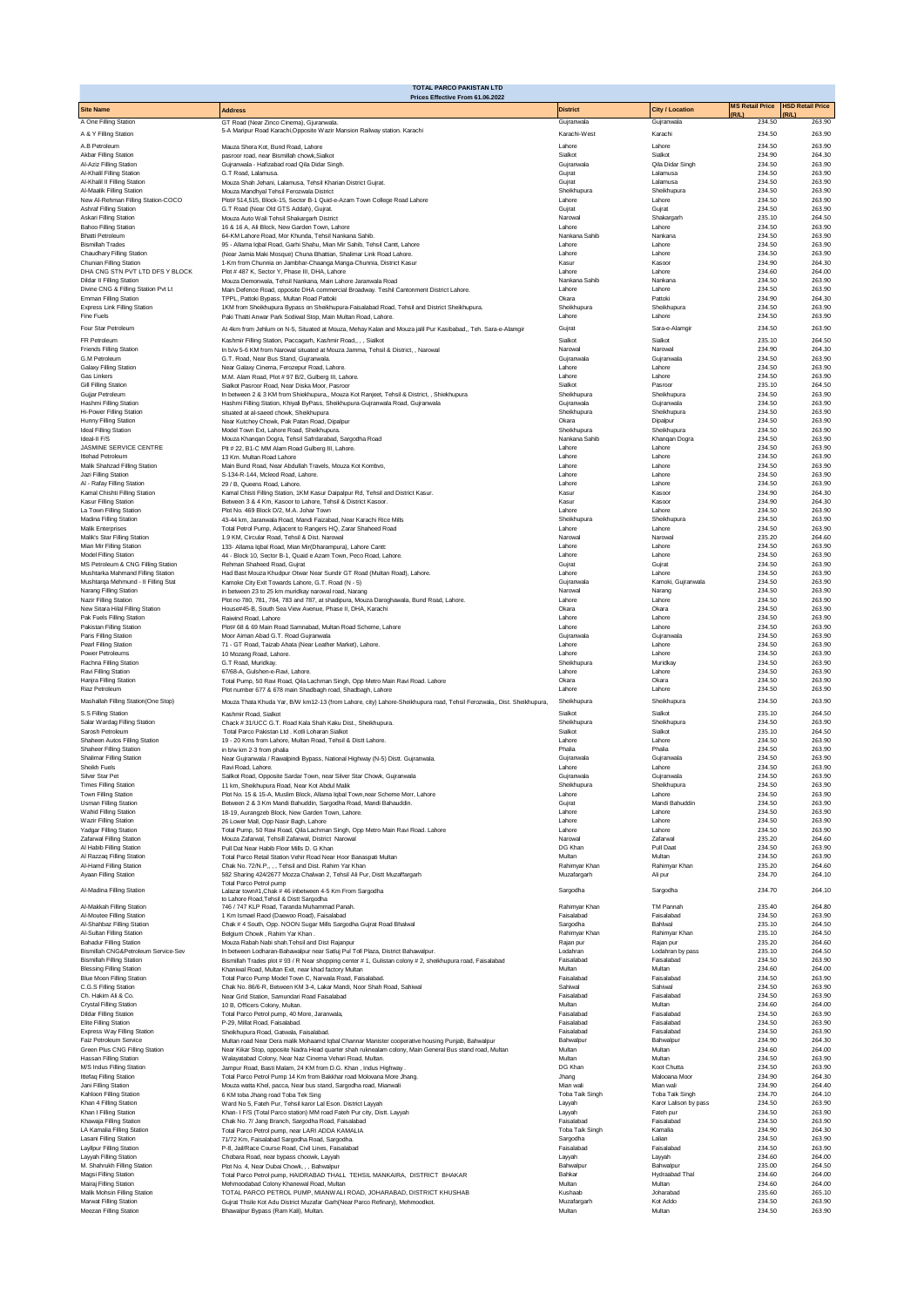|                                                                         | <b>TOTAL PARCO PAKISTAN LTD</b><br>Prices Effective From 61.06.2022                                                                                                                                         |                              |                                          |                        |                         |
|-------------------------------------------------------------------------|-------------------------------------------------------------------------------------------------------------------------------------------------------------------------------------------------------------|------------------------------|------------------------------------------|------------------------|-------------------------|
| <b>Site Name</b>                                                        | <b>Address</b>                                                                                                                                                                                              | <b>District</b>              | <b>City / Location</b>                   | <b>MS Retail Price</b> | <b>HSD Retail Price</b> |
| A One Filling Station                                                   | GT Road (Near Zinco Cinema), Gjuranwala.                                                                                                                                                                    | Gujranwala                   | Gujranwala                               | (R/L)<br>234.50        | R/L<br>263.90           |
| A & Y Filling Station                                                   | 5-A Maripur Road Karachi, Opposite Wazir Mansion Railway station. Karachi                                                                                                                                   | Karachi-West                 | Karachi                                  | 234.50                 | 263.90                  |
| A.B Petroleum                                                           | Mauza Shera Kot, Bund Road, Lahore                                                                                                                                                                          | Lahore                       | Lahore                                   | 234.50                 | 263.90                  |
| Akbar Filling Station<br>Al-Aziz Filling Station                        | pasroor road, near Bismillah chowk, Sialkot<br>Gujranwala - Hafizabad road Qila Didar Singh.                                                                                                                | Sialkot<br>Guiranwala        | Sialkot<br>Oila Didar Singh              | 234.90<br>234.50       | 264.30<br>263.90        |
| Al-Khalil Filling Station<br>Al-Khalil II Filling Station               | G.T Road, Lalamusa.<br>Mouza Shah Jehani, Lalamusa, Tehsil Kharian District Gujrat.                                                                                                                         | Gujrat<br>Guirat             | Lalamusa<br>Lalamusa                     | 234.50<br>234.50       | 263.90<br>263.90        |
| Al-Maalik Filling Station                                               | Mouza Mandhval Tehsil Ferozwala District                                                                                                                                                                    | Sheikhupura                  | Sheikhupura                              | 234.50                 | 263.90                  |
| New Al-Rehman Filling Station-COCO<br>Ashraf Filling Station            | Plot# 514,515, Block-15, Sector B-1 Quid-e-Azam Town College Road Lahore<br>G.T Road (Near Old GTS Addah), Gujrat.                                                                                          | Lahore<br>Gujrat             | Lahore<br>Gujrat                         | 234.50<br>234.50       | 263.90<br>263.90        |
| Askari Filling Station                                                  | Mouza Auto Wali Tehsil Shakargarh District                                                                                                                                                                  | Narowal                      | Shakargarh                               | 235.10                 | 264.50                  |
| <b>Bahoo Filling Station</b><br><b>Bhatti Petroleum</b>                 | 16 & 16 A. Ali Block, New Garden Town, Lahore<br>64-KM Lahore Road, Mor Khunda, Tehsil Nankana Sahib.                                                                                                       | Labore<br>Nankana Sahib      | Labore<br>Nankana                        | 234.50<br>234.50       | 263.90<br>263.90        |
| <b>Bismillah Trades</b>                                                 | 95 - Allama Iqbal Road, Garhi Shahu, Mian Mir Sahib, Tehsil Cantt, Lahore                                                                                                                                   | Lahore                       | Lahore                                   | 234.50                 | 263.90                  |
| Chaudhary Filling Station<br>Chunian Filling Station                    | (Near Jamia Maki Mosque) Chuna Bhattian, Shalimar Link Road Lahore.<br>1-Km from Chunnia on Jambhar-Chaanga Manga-Chunnia, District Kasur                                                                   | Lahore<br>Kasur              | Lahore<br>Kasoor                         | 234.50<br>234.90       | 263.90<br>264.30        |
| DHA CNG STN PVT LTD DFS Y BLOCK                                         | Plot #487 K, Sector Y, Phase III, DHA, Lahore                                                                                                                                                               | Lahore                       | Lahore                                   | 234.60                 | 264.00                  |
| <b>Dildar II Filling Station</b><br>Divine CNG & Filling Station Pvt Lt | Mouza Demonwala, Tehsil Nankana, Main Lahore Jaranwala Road<br>Main Defence Road, opposite DHA commercial Broadway. Teshil Cantonment District Lahore.                                                      | Nankana Sahih<br>Lahore      | Nankana<br>Lahore                        | 234.50<br>234.50       | 263.90<br>263.90        |
| Emman Filling Station                                                   | TPPL, Pattoki Bypass, Multan Road Pattoki                                                                                                                                                                   | Okara                        | Pattok                                   | 234.90                 | 264.30                  |
| <b>Express Link Filling Station</b><br>Fine Fuels                       | 1KM from Sheikhupura Bypass on Sheikhupura-Faisalabad Road, Tehsil and District Sheikhupura.<br>Paki Thatti Anwar Park Sodiwal Stop, Main Multan Road, Lahore.                                              | Sheikhupura<br>Lahore        | Sheikhupura<br>Lahore                    | 234.50<br>234.50       | 263.90<br>263.90        |
| Four Star Petroleum                                                     | At 4km from Jehlum on N-5, Situated at Mouza, Mehay Kalan and Mouza jalil Pur Kasibabad,, Teh. Sara-e-Alamgir                                                                                               | Gujrat                       | Sara-e-Alamgir                           | 234.50                 | 263.90                  |
| FR Petroleum                                                            | Kashmir Filling Station, Paccagarh, Kashmir Road,, , , Sialkot                                                                                                                                              | Sialkot                      | Sialkot                                  | 235.10                 | 264.50                  |
| <b>Friends Filling Station</b><br>G.M Petroleum                         | In b/w 5-6 KM from Narowal situated at Mouza Jamma, Tehsil & District, , Narowal<br>G.T. Road, Near Bus Stand, Gujranwala                                                                                   | Narowa<br>Guiranwala         | Narowal<br>Gujranwala                    | 234.90<br>234.50       | 264.30<br>263.90        |
| Galaxy Filling Station                                                  | Near Galaxy Cinema, Ferozepur Road, Lahore                                                                                                                                                                  | Lahore                       | Lahore                                   | 234.50                 | 263.90                  |
| Gas Linkers<br>Gill Filling Station                                     | M.M. Alam Road, Plot # 97 B/2, Gulberg III, Lahore.<br>Sialkot Pasroor Road, Near Diska Moor, Pasroor                                                                                                       | Lahore<br>Sialkot            | I ahore<br>Pasroon                       | 234.50<br>235.10       | 263.90<br>264.50        |
| Gujjar Petroleum                                                        | In between 2 & 3 KM from Shiekhupura,, Mouza Kot Ranjeet, Tehsil & District, , Shiekhupura                                                                                                                  | Sheikhupura                  | Sheikhupura                              | 234.50                 | 263.90                  |
| Hashmi Filling Station<br>Hi-Power Filling Station                      | Hashmi Filling Station, Khiyali ByPass, Sheikhupura-Gujranwala Road, Gujranwala<br>situated at al-saeed chowk. Sheikhupura                                                                                  | Guiranwala<br>Sheikhupura    | Guiranwala<br>Sheikhupura                | 234.50<br>234.50       | 263.90<br>263.90        |
| Hunny Filling Station                                                   | Near Kutchey Chowk, Pak Patan Road, Dipalpur                                                                                                                                                                | Okara                        | Dipalpur                                 | 234.50                 | 263.90                  |
| <b>Ideal Filling Station</b><br>Ideal-II F/S                            | Model Town Ext, Lahore Road, Sheikhupura.<br>Mouza Khanqan Dogra, Tehsil Safrdarabad, Sargodha Road                                                                                                         | Sheikhupura<br>Nankana Sahih | Sheikhupura<br>Khangan Dogra             | 234.50<br>234.50       | 263.90<br>263.90        |
| <b>JASMINE SERVICE CENTRE</b>                                           | Plt # 22, B1-C MM Alam Road Gulberg III, Lahore.                                                                                                                                                            | Lahore                       | Lahore                                   | 234.50                 | 263.90                  |
| Ittehad Petroleum<br>Malik Shahzad Filling Station                      | 13 Km. Multan Road Labore<br>Main Bund Road, Near Abdullah Travels, Mouza Kot Kombvo,                                                                                                                       | Lahore<br>Lahore             | Lahore<br>Lahore                         | 234.50<br>234.50       | 263.90<br>263.90        |
| Jazi Filling Station                                                    | S-134-R-144. Mcleod Road. Lahore.                                                                                                                                                                           | Lahore                       | Lahore                                   | 234.50                 | 263.90                  |
| Al - Rafay Filling Station<br>Kamal Chishti Filling Station             | 29 / B, Queens Road, Lahore.<br>Kamal Chisti Filling Station, 1KM Kasur Daipalpur Rd, Tehsil and District Kasur.                                                                                            | Lahore<br>Kasur              | Lahore<br>Kasoor                         | 234.50<br>234.90       | 263.90<br>264.30        |
| Kasur Filling Station                                                   | Between 3 & 4 Km, Kasoor to Lahore, Tehsil & District Kasoor.<br>Plot No. 469 Block D/2, M.A. Johar Town                                                                                                    | Kasur                        | Kasoor                                   | 234.90                 | 264.30                  |
| La Town Filling Station<br>Madina Filling Station                       | 43-44 km. Jaranwala Road, Mandi Faizabad, Near Karachi Rice Mills                                                                                                                                           | Lahore<br>Sheikhupura        | Lahore<br>Sheikhupura                    | 234.50<br>234.50       | 263.90<br>263.90        |
| Malik Enterprises                                                       | Total Petrol Pump, Adjacent to Rangers HQ, Zarar Shaheed Road                                                                                                                                               | Lahore                       | Lahore                                   | 234.50<br>235.20       | 263.90                  |
| Malik's Star Filling Station<br>Mian Mir Filling Station                | 1.9 KM, Circular Road, Tehsil & Dist. Narowal<br>133- Allama Iqbal Road, Mian Mir(Dharampura), Lahore Cantt:                                                                                                | Narowal<br>Lahore            | Narowal<br>Lahore                        | 234.50                 | 264.60<br>263.90        |
| Model Filling Station<br>MS Petroleum & CNG Filling Station             | 44 - Block 10, Sector B-1, Quaid e Azam Town, Peco Road, Lahore.                                                                                                                                            | Lahore<br>Guirat             | Lahore<br>Guirat                         | 234.50<br>234.50       | 263.90<br>263.90        |
| Mushtarka Mahmand Filling Station                                       | Rehman Shaheed Road, Guirat<br>Had Bast Mouza Khudpur Otwar Near Sundir GT Road (Multan Road), Lahore.                                                                                                      | Lahore                       | Lahore                                   | 234.50                 | 263.90                  |
| Mushtarqa Mehmund - II Filling Stat                                     | Kamoke City Exit Towards Lahore, G.T. Road (N - 5)                                                                                                                                                          | Gujranwala                   | Kamoki, Gujranwala                       | 234.50                 | 263.90                  |
| Narang Filling Station<br>Nazir Filling Station                         | in between 23 to 25 km muridkay narowal road, Narang<br>Plot no 780, 781, 784, 783 and 787, at shadipura, Mouza Daroghawala, Bund Road, Lahore.                                                             | Narowal<br>Lahore            | Narano<br>Lahore                         | 234.50<br>234.50       | 263.90<br>263.90        |
| New Sitara Hilal Filling Station                                        | House#45-B, South Sea View Avenue, Phase II, DHA, Karachi                                                                                                                                                   | Okara                        | Okara                                    | 234.50                 | 263.90                  |
| Pak Fuels Filling Station<br>Pakistan Filling Station                   | Raiwind Road, Labore<br>Plot# 68 & 69 Main Road Samnabad, Multan Road Scheme, Lahore                                                                                                                        | Lahore<br>Lahore             | Lahore<br>Lahore                         | 234.50<br>234.50       | 263.90<br>263.90        |
| Paris Filling Station                                                   | Moor Aiman Abad G.T. Road Gujranwala                                                                                                                                                                        | Gujranwala                   | Gujranwala                               | 234.50                 | 263.90                  |
| Pearl Filling Station<br>Power Petroleums                               | 71 - GT Road, Taizab Ahata (Near Leather Market), Lahore.<br>10 Mozang Road, Lahore.                                                                                                                        | Lahore<br>Lahore             | Lahore<br>Lahore                         | 234.50<br>234.50       | 263.90<br>263.90        |
| Rachna Filling Station<br>Ravi Filling Station                          | G.T Road, Muridkay.                                                                                                                                                                                         | Sheikhupura<br>Lahore        | Muridkay<br>Lahore                       | 234.50<br>234.50       | 263.90<br>263.90        |
| Hanira Filling Station                                                  | 67/68-A, Gulshen-e-Ravi, Lahore.<br>Total Pump, 50 Ravi Road, Qila Lachman Singh, Opp Metro Main Ravi Road. Lahore                                                                                          | Okara                        | Okara                                    | 234.50                 | 263.90                  |
| Riaz Petroleum                                                          | Plot number 677 & 678 main Shadbagh road, Shadbagh, Lahore                                                                                                                                                  | Lahore                       | Lahore                                   | 234.50                 | 263.90                  |
| Mashallah Filling Station(One Stop)                                     | Mouza Thata Khuda Yar, B/W km12-13 (from Lahore, city) Lahore-Sheikhupura road, Tehsil Ferozwala,, Dist. Sheikhupura,                                                                                       | Sheikhupura                  | Sheikhupura                              | 234.50                 | 263.90                  |
| S.S Filling Station<br>Salar Wardag Filling Station                     | Kashmir Road, Sialkot<br>Chack # 31/UCC G.T. Road Kala Shah Kaku Dist., Sheikhupura.                                                                                                                        | Sialkot<br>Sheikhupura       | Sialkot<br>Sheikhupura                   | 235.10<br>234.50       | 264.50<br>263.90        |
| Sarosh Petroleum                                                        | Total Parco Pakistan Ltd . Kotli Loharan Sialkot                                                                                                                                                            | Sialkot                      | Sialkot                                  | 235.10                 | 264.50                  |
| Shaheen Autos Filling Station<br>Shaheer Filling Station                | 19 - 20 Kms from Lahore, Multan Road, Tehsil & Distt Lahore.<br>in b/w km 2-3 from phalia                                                                                                                   | Lahore<br>Phalia             | Lahore<br>Phalia                         | 234.50<br>234.50       | 263.90<br>263.90        |
| Shalimar Filling Station<br>Sheikh Fuels                                | Near Gujranwala / Rawalpindi Bypass, National Highway (N-5) Distt. Gujranwala.<br>Ravi Road, Lahore.                                                                                                        | Gujranwala<br>Labore         | Gujranwala<br>Lahore                     | 234.50<br>234.50       | 263.90<br>263.90        |
| Silver Star Pet                                                         | Sailkot Road, Opposite Sardar Town, near Silver Star Chowk, Gujranwala                                                                                                                                      | Guiranwala                   | Guiranwala                               | 234.50                 | 263.90                  |
| <b>Times Filling Station</b><br>Town Filling Station                    | 11 km, Sheikhupura Road, Near Kot Abdul Malik<br>Plot No. 15 & 15-A. Muslim Block, Allama Igbal Town.near Scheme Morr, Lahore                                                                               | Sheikhupura<br>Lahore        | Sheikhupura<br>Lahore                    | 234.50<br>234.50       | 263.90<br>263.90        |
| <b>Usman Filling Station</b>                                            | Between 2 & 3 Km Mandi Bahuddin, Sargodha Road, Mandi Bahauddin.                                                                                                                                            | Gujrat                       | Mandi Bahuddin                           | 234.50                 | 263.90                  |
| Wahid Filling Station<br>Wazir Filling Station                          | 18-19, Aurangzeb Block, New Garden Town, Lahore.<br>26 Lower Mall, Opp Nasir Bagh, Lahore                                                                                                                   | Lahore<br>Labore             | Lahore<br>Lahore                         | 234.50<br>234.50       | 263.90<br>263.90        |
| Yadgar Filling Station                                                  | Total Pump, 50 Ravi Road, Qila Lachman Singh, Opp Metro Main Ravi Road. Lahore                                                                                                                              | Labore                       | Lahore                                   | 234.50                 | 263.90                  |
| Zafarwal Filling Station<br>Al Habib Filling Station                    | Mouza Zafarwal, Tehsill Zafarwal, District Narowal<br>Pull Dat Near Habib Floor Mills D. G Khan                                                                                                             | Narowal<br>DG Khan           | Zafarwal<br>Pull Daat                    | 235.20<br>234.50       | 264.60<br>263.90        |
| Al Razzaq Filling Station                                               | Total Parco Retail Station Vehir Road Near Hoor Banaspati Multan                                                                                                                                            | Multan                       | Multan                                   | 234.50                 | 263.90                  |
| Al-Hamd Filling Station<br>Ayaan Filling Station                        | Chak No. 72/N.P., , , Tehsil and Dist. Rahim Yar Khan<br>582 Sharing 424/2677 Mozza Chalwan 2, Tehsil Ali Pur, Distt Muzaffargarh                                                                           | Rahimyar Khan<br>Muzafargarh | Rahimyar Khan<br>Ali pur                 | 235.20<br>234.70       | 264.60<br>264.10        |
|                                                                         | Total Parco Petrol pump<br>Lalazar town#1, Chak # 46 inbetween 4-5 Km From Sargodha                                                                                                                         |                              |                                          | 234.70                 | 264.10                  |
| Al-Madina Filling Station                                               | to Lahore Road, Tehsil & Distt Sargodha                                                                                                                                                                     | Sargodha                     | Sargodha                                 |                        |                         |
| Al-Makkah Filling Station<br>Al-Moutee Filling Station                  | 746 / 747 KLP Road, Taranda Muhammad Panah.<br>1 Km Ismael Raod (Daewoo Road), Faisalabad                                                                                                                   | Rahimyar Khan<br>Faisalabad  | TM Pannah<br>Faisalabad                  | 235.40<br>234.50       | 264.80<br>263.90        |
| Al-Shahbaz Filling Station                                              | Chak # 4 South, Opp. NOON Sugar Mills Sargodha Gujrat Road Bhalwal                                                                                                                                          | Sargodha                     | Bahlwal                                  | 235.10                 | 264.50                  |
| Al-Sultan Filling Station<br><b>Bahadur Filling Station</b>             | Belgium Chowk, Rahim Yar Khan.<br>Mouza Rabah Nabi shah. Tehsil and Dist Rajanpur                                                                                                                           | Rahimyar Khan<br>Rajan pur   | Rahimyar Khan<br>Rajan pur               | 235.10<br>235.20       | 264.50<br>264.60        |
| Bismillah CNG&Petroleum Service-Sev                                     | In between Lodharan-Bahawalpur near Satluj Pul Toll Plaza, District Bahawalpur.                                                                                                                             | Lodahran                     | Lodahran by pass                         | 235.10                 | 264.50                  |
| <b>Bismillah Filling Station</b><br><b>Blessing Filling Station</b>     | Bismillah Trades plot #93 / R Near shopping center #1, Gulistan colony #2, sheikhupura road, Faisalabad<br>Khaniwal Road, Multan Exit, near khad factory Multan                                             | Faisalabad<br>Multan         | Faisalabad<br>Multan                     | 234.50<br>234.60       | 263.90<br>264.00        |
| <b>Blue Moon Filling Station</b>                                        | Total Parco Pump Model Town C, Narwala Road, Faisalabad.                                                                                                                                                    | Faisalabad                   | Faisalabad                               | 234.50                 | 263.90                  |
| C.G.S Filling Station<br>Ch. Hakim Ali & Co.                            | Chak No. 86/6-R, Between KM 3-4, Lakar Mandi, Noor Shah Road, Sahiwal<br>Near Grid Station, Samundari Road Faisalabad                                                                                       | Sahiwal<br>Faisalabad        | Sahiwal<br>Faisalabad                    | 234.50<br>234.50       | 263.90<br>263.90        |
| Crystal Filling Station                                                 | 10 B, Officers Colony, Multan.                                                                                                                                                                              | Multan                       | Multan                                   | 234.60                 | 264.00                  |
| <b>Dildar Filling Station</b><br>Elite Filling Station                  | Total Parco Petrol pump, 40 More, Jaranwala,<br>P-29, Millat Road, Faisalabad.                                                                                                                              | Faisalabad<br>Faisalabad     | Faisalabad<br>Faisalabad                 | 234.50<br>234.50       | 263.90<br>263.90        |
| <b>Express Way Filling Station</b>                                      | Sheikhupura Road, Gatwala, Faisalabad.                                                                                                                                                                      | Faisalabad                   | Faisalabad                               | 234.50                 | 263.90                  |
| Faiz Petroleum Service<br>Green Plus CNG Filling Station                | Multan road Near Dera malik Mohaamd Iqbal Channar Manister cooperative housing Punjab, Bahwalpur<br>Near Kikar Stop, opposite Nadra Head quarter shah ruknealam colony, Main General Bus stand road, Multan | Bahwalpur<br>Multan          | Bahwalpur<br>Multan                      | 234.90<br>234.60       | 264.30<br>264.00        |
| <b>Hassan Filling Station</b>                                           | Walayatabad Colony, Near Naz Cinema Vehari Road, Multan.                                                                                                                                                    | Multan<br>DG Khan            | Multan<br>Koot Chutta                    | 234.50<br>234.50       | 263.90<br>263.90        |
| M/S Indus Filling Station<br>Ittefaq Filling Station                    | Jampur Road, Basti Malam, 24 KM from D.G. Khan, Indus Highway<br>Total Parco Petrol Pump 14 Km from Bakkhar road Molovana More Jhang.                                                                       | Jhang                        | Malooana Moor                            | 234.90                 | 264.30                  |
| Jani Filling Station                                                    | Mouza watta Khel, pacca, Near bus stand, Sargodha road, Mianwali                                                                                                                                            | Mian wali                    | Mian wali                                | 234.90                 | 264.40                  |
| Kahloon Filling Station<br>Khan 4 Filling Station                       | 6 KM toba Jhang road Toba Tek Sing<br>Ward No 5, Fateh Pur, Tehsil karor Lal Eson. District Layyah                                                                                                          | Toba Taik Singh<br>Layyah    | Toba Taik Singh<br>Karor Lalison by pass | 234.70<br>234.50       | 264.10<br>263.90        |
| Khan I Filling Station                                                  | Khan- I F/S (Total Parco station) MM road Fateh Pur city, Distt. Layyah                                                                                                                                     | Layyah<br>Faisalabad         | Fateh pur<br>Faisalabad                  | 234.50<br>234.50       | 263.90<br>263.90        |
| Khawaja Filling Station<br>LA Kamalia Filling Station                   | Chak No. 7/ Jang Branch, Sargodha Road, Faisalabad<br>Total Parco Petrol pump, near LARI ADDA KAMALIA                                                                                                       | Toba Taik Singh              | Kamalia                                  | 234.90                 | 264.30                  |
| Lasani Filling Station<br>Layllpur Filling Station                      | 71/72 Km, Faisalabad Sargodha Road, Sargodha.<br>P-8, Jail/Race Course Road, Civil Lines, Faisalabad                                                                                                        | Sargodha<br>Faisalabad       | Lalian<br>Faisalabad                     | 234.50<br>234.50       | 263.90<br>263.90        |
| Layyah Filling Station                                                  | Chobara Road, near bypass choowk, Layyah                                                                                                                                                                    | Layyah                       | Layyah                                   | 234.60                 | 264.00                  |
| M. Shahrukh Filling Station<br>Magsi Filling Station                    | Plot No. 4, Near Dubai Chowk, , , Bahwalpur                                                                                                                                                                 | Bahwalpur<br>Bahkar          | Bahwalpur<br>Hydraabad Thal              | 235.00<br>234.60       | 264.50<br>264.00        |
| Mairaj Filling Station                                                  | Total Parco Petrol pump, HAIDRABAD THALL TEHSIL MANKAIRA, DISTRICT BHAKAR<br>Mehmoodabad Colony Khanewal Road, Multan                                                                                       | Multan                       | Multan                                   | 234.60                 | 264.00                  |
| Malik Mohsin Filling Station<br>Marwat Filling Station                  | TOTAL PARCO PETROL PUMP, MIANWALI ROAD, JOHARABAD, DISTRICT KHUSHAB<br>Gujrat Thsile Kot Adu District Muzafar Garh(Near Parco Refinary), Mehmoodkot.                                                        | Kushaab<br>Muzafargarh       | Joharabad<br>Kot Addo                    | 235.60<br>234.50       | 265.10<br>263.90        |
| Meezan Filling Station                                                  | Bhawalpur Bypass (Ram Kali), Multan.                                                                                                                                                                        | Multan                       | Multan                                   | 234.50                 | 263.90                  |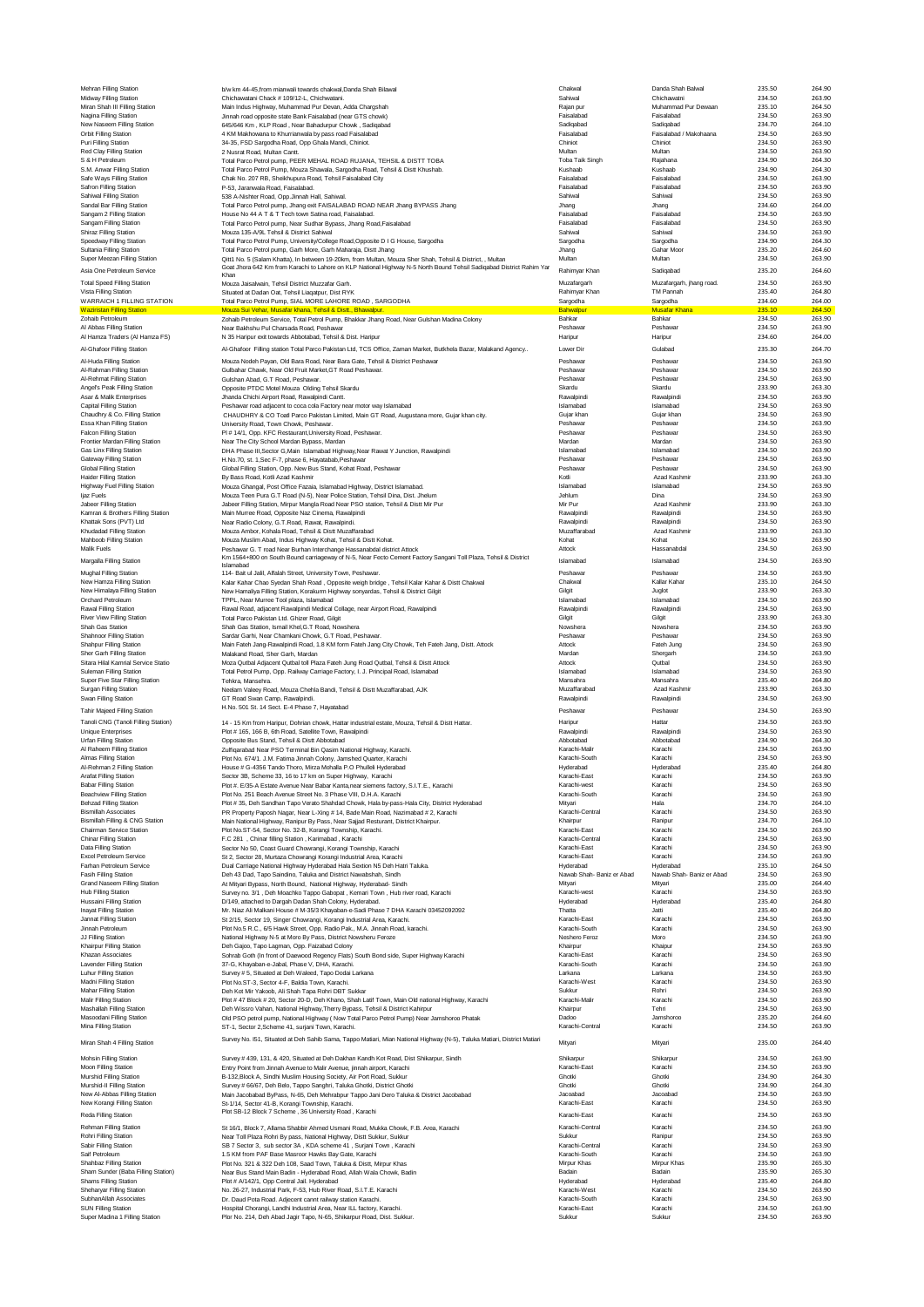| Midway Filling Station<br>Miran Shah III Filling Station        | b/w km 44-45, from mianwali towards chakwal, Danda Shah Bilawal                                                                                                                                                                   | Chakwal                              | Danda Shah Balwal                    | 235.50           |                  |
|-----------------------------------------------------------------|-----------------------------------------------------------------------------------------------------------------------------------------------------------------------------------------------------------------------------------|--------------------------------------|--------------------------------------|------------------|------------------|
| Nagina Filling Station                                          | Chichawatani Chack # 109/12-L. Chichwatani.                                                                                                                                                                                       | Sahiwal                              | Chichawatni                          | 234.50           | 263.90           |
|                                                                 | Main Indus Highway, Muhammad Pur Devan, Adda Chargshah<br>Jinnah road opposite state Bank Faisalabad (near GTS chowk)                                                                                                             | Raian pur<br>Faisalabad              | Muhammad Pur Dewaan<br>Faisalabad    | 235.10<br>234.50 | 264.50<br>263.90 |
| New Naseem Filling Station                                      | 645/646 Km, KLP Road, Near Bahadurpur Chowk, Sadiqabad                                                                                                                                                                            | Sadiqabad                            | Sadiqabad                            | 234.70           | 264.10           |
| Orbit Filling Station                                           | 4 KM Makhowana to Khurrianwala by pass road Faisalabad                                                                                                                                                                            | Faisalabad                           | Faisalabad / Makohaana               | 234.50           | 263.90           |
| Puri Filling Station                                            | 34-35, FSD Sargodha Road, Opp Ghala Mandi, Chiniot.                                                                                                                                                                               | Chiniot                              | Chiniot                              | 234.50           | 263.90           |
| Red Clay Filling Station                                        | 2 Nusrat Road, Multan Cantt.                                                                                                                                                                                                      | Multan                               | Multan                               | 234.50           | 263.90           |
| S & H Petroleum                                                 | Total Parco Petrol pump, PEER MEHAL ROAD RUJANA, TEHSIL & DISTT TOBA                                                                                                                                                              | Toba Taik Singh                      | Rajahana                             | 234.90           | 264.30           |
| S.M. Anwar Filling Station                                      | Total Parco Petrol Pump, Mouza Shawala, Sargodha Road, Tehsil & Distt Khushab.                                                                                                                                                    | Kushaab                              | Kushaab                              | 234.90           | 264.30           |
| Safe Ways Filling Station<br>Safron Filling Station             | Chak No. 207 RB, Sheikhupura Road, Tehsil Faisalabad City<br>P-53, Jaranwala Road, Faisalabad.                                                                                                                                    | Faisalabad<br>Faisalabad             | Faisalabad<br>Faisalabad             | 234.50<br>234.50 | 263.90<br>263.90 |
| Sahiwal Filling Station                                         | 538 A-Nishter Road, Opp.Jinnah Hall, Sahiwal.                                                                                                                                                                                     | Sahiwal                              | Sahiwal                              | 234.50           | 263.90           |
| Sandal Bar Filling Station                                      | Total Parco Petrol pump, Jhang exit FAISALABAD ROAD NEAR Jhang BYPASS Jhang                                                                                                                                                       | Jhang                                | Jhang                                | 234.60           | 264.00           |
| Sangam 2 Filling Station                                        | House No 44 A T & T Tech town Satina road, Faisalabad.                                                                                                                                                                            | Faisalabad                           | Faisalabad                           | 234.50           | 263.90           |
| Sangam Filling Station                                          | Total Parco Petrol pump, Near Sudhar Bypass, Jhang Road, Faisalabad                                                                                                                                                               | Faisalabad                           | Faisalabad                           | 234.50           | 263.90           |
| Shiraz Filling Station                                          | Mouza 135-A/9L Tehsil & District Sahiwal                                                                                                                                                                                          | Sahiwa                               | Sahiwal                              | 234.50           | 263.90           |
| Speedway Filling Station                                        | Total Parco Petrol Pump, University/College Road, Opposite D I G House, Sargodha                                                                                                                                                  | Sargodha                             | Sargodha                             | 234.90           | 264.30           |
| Sultania Filling Station                                        | Total Parco Petrol pump, Garh More, Garh Maharaja, Distt Jhang                                                                                                                                                                    | Jhang<br>Multan                      | Gahar Moor<br>Multan                 | 235.20<br>234.50 | 264.60<br>263.90 |
| Super Meezan Filling Station                                    | Qitt1 No. 5 (Salam Khatta), In between 19-20km, from Multan, Mouza Sher Shah, Tehsil & District, , Multan<br>Goat Jhora 642 Km from Karachi to Lahore on KLP National Highway N-5 North Bound Tehsil Sadiqabad District Rahim Yar |                                      |                                      |                  |                  |
| Asia One Petroleum Service                                      | Khan                                                                                                                                                                                                                              | Rahimyar Khan                        | Sadiqabad                            | 235.20           | 264.60           |
| <b>Total Speed Filling Station</b>                              | Mouza Jaisalwain, Tehsil District Muzzafar Garh.                                                                                                                                                                                  | Muzafargarh                          | Muzafargarh, jhang road.             | 234.50           | 263.90           |
| Vista Filling Station                                           | Situated at Dadan Oat, Tehsil Liagatpur, Dist RYK                                                                                                                                                                                 | Rahimyar Khan                        | TM Pannah                            | 235.40           | 264.80           |
| WARRAICH 1 FILLING STATION<br><b>Waziristan Filling Station</b> | Total Parco Petrol Pump, SIAL MORE LAHORE ROAD, SARGODHA                                                                                                                                                                          | Sargodha<br>Bahwalpur                | Sargodha<br><b>Musafar Khana</b>     | 234.60<br>235.10 | 264.00<br>264.50 |
| Zohaib Petroleum                                                | Mouza Sui Vehar, Musafar khana, Tehsil & Distt., Bhawalpur.<br>Zohaib Petroleum Service, Total Petrol Pump, Bhakkar Jhang Road, Near Gulshan Madina Colony                                                                        | Bahkar                               | Bahkar                               | 234.50           | 263.90           |
| Al Abbas Filling Station                                        | Near Bakhshu Pul Charsada Road, Peshawar                                                                                                                                                                                          | Peshawa                              | Peshawa                              | 234.50           | 263.90           |
| Al Hamza Traders (Al Hamza FS)                                  | N 35 Haripur exit towards Abbotabad, Tehsil & Dist. Haripur                                                                                                                                                                       | Haripur                              | Haripur                              | 234.60           | 264.00           |
| Al-Ghafoor Filling Station                                      | Al-Ghafoor Filling station Total Parco Pakistan Ltd, TCS Office, Zaman Market, Butkhela Bazar, Malakand Agency                                                                                                                    | Lower Dir                            | Gulabad                              | 235.30           | 264.70           |
|                                                                 |                                                                                                                                                                                                                                   |                                      |                                      |                  |                  |
| Al-Huda Filling Station<br>Al-Rahman Filling Station            | Mouza Nodeh Payan, Old Bara Road, Near Bara Gate, Tehsil & District Peshawar<br>Gulbahar Chawk, Near Old Fruit Market, GT Road Peshawar.                                                                                          | Peshawar<br>Peshawar                 | Peshawar<br>Peshawar                 | 234.50<br>234.50 | 263.90<br>263.90 |
| Al-Rehmat Filling Station                                       | Gulshan Abad, G.T Road, Peshawar.                                                                                                                                                                                                 | Peshawa                              | Peshawa                              | 234.50           | 263.90           |
| Angel's Peak Filling Station                                    | Opposite PTDC Motel Mouza Olding Tehsil Skardu                                                                                                                                                                                    | Skardu                               | Skardu                               | 233.90           | 263.30           |
| Asar & Malik Enterprises                                        | Jhanda Chichi Airport Road, Rawalpindi Cantt.                                                                                                                                                                                     | Rawalpindi                           | Rawalpindi                           | 234.50           | 263.90           |
| Capital Filling Station                                         | Peshawar road adjacent to coca cola Factory near motor way Islamabad                                                                                                                                                              | Islamabad                            | Islamabad                            | 234.50           | 263.90           |
| Chaudhry & Co. Filling Station                                  | CHAUDHRY & CO Toatl Parco Pakistan Limited, Main GT Road, Augustana more, Gujar khan city.                                                                                                                                        | Guiar khan                           | Guiar khar                           | 234.50           | 263.90           |
| Essa Khan Filling Station                                       | University Road, Town Chowk, Peshawar                                                                                                                                                                                             | Peshawar                             | Peshawar                             | 234.50           | 263.90           |
| <b>Falcon Filling Station</b>                                   | PI # 14/1, Opp. KFC Restaurant, University Road, Peshawar.                                                                                                                                                                        | Peshawa                              | Peshawa                              | 234.50           | 263.90           |
| Frontier Mardan Filling Station<br>Gas Linx Filling Station     | Near The City School Mardan Bypass, Mardan<br>DHA Phase III, Sector G, Main Islamabad Highway, Near Rawat Y Junction, Rawalpindi                                                                                                  | Mardan<br>Islamabad                  | Mardan<br>Islamabad                  | 234.50<br>234.50 | 263.90<br>263.90 |
| Gateway Filling Station                                         | H.No.70, st. 1, Sec F-7, phase 6, Hayatabab, Peshawar                                                                                                                                                                             | Pechawar                             | Peshawar                             | 234.50           | 263.90           |
| Global Filling Station                                          | Global Filling Station, Opp. New Bus Stand, Kohat Road, Peshawar                                                                                                                                                                  | Peshawar                             | Peshawar                             | 234.50           | 263.90           |
| <b>Haider Filling Station</b>                                   | By Bass Road, Kotli Azad Kashmir                                                                                                                                                                                                  | Kotli                                | Azad Kashmir                         | 233.90           | 263.30           |
| Highway Fuel Filling Station                                    | Mouza Ghangal, Post Office Fazaia, Islamabad Highway, District Islamabad,                                                                                                                                                         | Islamabad                            | Islamabad                            | 234.50           | 263.90           |
| Ijaz Fuels                                                      | Mouza Teen Pura G.T Road (N-5), Near Police Station, Tehsil Dina, Dist. Jhelum                                                                                                                                                    | Jehlum                               | Dina                                 | 234.50           | 263.90           |
| Jabeer Filling Station                                          | Jabeer Filling Station, Mirpur Mangla Road Near PSO station, Tehsil & Distt Mir Pur                                                                                                                                               | Mir Pur                              | Azad Kashmir                         | 233.90           | 263.30           |
| Kamran & Brothers Filling Station                               | Main Murree Road, Opposite Naz Cinema, Rawalpindi                                                                                                                                                                                 | Rawalpindi                           | Rawalpindi                           | 234.50           | 263.90           |
| Khattak Sons (PVT) Ltd<br>Khudadad Filling Station              | Near Radio Colony, G.T.Road, Rawat, Rawalpindi.<br>Mouza Ambor, Kohala Road, Tehsil & Distt Muzaffarabad                                                                                                                          | Rawalpindi<br>Muzaffarabad           | Rawalpind<br>Azad Kashmir            | 234.50<br>233.90 | 263.90<br>263.30 |
| Mahboob Filling Station                                         | Mouza Muslim Abad, Indus Highway Kohat, Tehsil & Distt Kohat,                                                                                                                                                                     | Kohat                                | Kohat                                | 234.50           | 263.90           |
| Malik Fuels                                                     | Peshawar G. T road Near Burhan Interchange Hassanabdal district Attock                                                                                                                                                            | Attock                               | Hassanabda                           | 234.50           | 263.90           |
| Margalla Filling Station                                        | Km 1564+800 on South Bound carriageway of N-5, Near Fecto Cement Factory Sangani Toll Plaza, Tehsil & District                                                                                                                    | Islamabad                            | Islamabad                            | 234.50           | 263.90           |
|                                                                 | Islamabad                                                                                                                                                                                                                         |                                      |                                      |                  |                  |
| Mughal Filling Station                                          | 114- Bait ul Jalil, Alfalah Street, University Town, Peshawar.                                                                                                                                                                    | Peshawar                             | Peshawar                             | 234.50           | 263.90           |
| New Hamza Filling Station<br>New Himalaya Filling Station       | Kalar Kahar Chao Syedan Shah Road, Opposite weigh bridge, Tehsil Kalar Kahar & Distt Chakwal<br>New Hamaliya Filling Station, Korakurm Highway sonyardas, Tehsil & District Gilgit                                                | Chakwal<br>Gilgit                    | Kallar Kahar<br>Juglot               | 235.10<br>233.90 | 264.50<br>263.30 |
| Orchard Petroleum                                               | TPPL, Near Murree Tool plaza, Islamabad                                                                                                                                                                                           | Islamabao                            | Islamabad                            | 234.50           | 263.90           |
| Rawal Filling Station                                           | Rawal Road, adjacent Rawalpindi Medical Collage, near Airport Road, Rawalpindi                                                                                                                                                    | Rawalpindi                           | Rawalpindi                           | 234.50           | 263.90           |
| River View Filling Station                                      | Total Parco Pakistan Ltd. Ghizer Road, Gilgit                                                                                                                                                                                     | Gilgit                               | Gilait                               | 233.90           | 263.30           |
| Shah Gas Station                                                | Shah Gas Station, Ismail Khel, G.T Road, Nowshera                                                                                                                                                                                 | Nowshera                             | Nowshera                             | 234.50           | 263.90           |
| Shahnoor Filling Station                                        | Sardar Garhi, Near Chamkani Chowk, G.T Road, Peshawar.                                                                                                                                                                            | Peshawar                             | Peshawar                             | 234.50           | 263.90           |
| Shahpur Filling Station                                         | Main Fateh Jang-Rawalpindi Road, 1.8 KM form Fateh Jang City Chowk, Teh Fateh Jang, Distt. Attock                                                                                                                                 | Attock                               | Fateh Jung                           | 234.50           | 263.90           |
| Sher Garh Filling Station                                       | Malakand Road, Sher Garh, Mardan                                                                                                                                                                                                  | Mardan                               | Shergarh<br>Qutbal                   | 234.50           | 263.90<br>263.90 |
| Sitara Hilal Kamrial Service Statio<br>Suleman Filling Station  | Moza Qutbal Adjacent Qutbal toll Plaza Fateh Jung Road Qutbal, Tehsil & Distt Attock<br>Total Petrol Pump, Opp. Railway Carriage Factory, I. J. Principal Road, Islamabad                                                         | Attock<br>Islamahad                  | Islamabad                            | 234.50<br>234.50 | 263.90           |
| Super Five Star Filling Station                                 | Tehkra, Mansehra.                                                                                                                                                                                                                 | Mansahra                             | Mansahra                             | 235.40           | 264.80           |
| Surgan Filling Station                                          | Neelam Valeey Road, Mouza Chehla Bandi, Tehsil & Distt Muzaffarabad, AJK                                                                                                                                                          | Muzaffarabad                         | Azad Kashmir                         | 233.90           | 263.30           |
| Swan Filling Station                                            | GT Road Swan Camp, Rawalpindi,                                                                                                                                                                                                    | Rawalpindi                           | Rawalpindi                           | 234.50           | 263.90           |
|                                                                 | H.No. 501 St. 14 Sect. E-4 Phase 7, Hayatabad                                                                                                                                                                                     |                                      | Peshawar                             |                  |                  |
|                                                                 |                                                                                                                                                                                                                                   | Peshawar                             |                                      |                  |                  |
| Tahir Majeed Filling Station                                    |                                                                                                                                                                                                                                   |                                      |                                      | 234.50           | 263.90           |
| Tanoli CNG (Tanoli Filling Station)                             | 14 - 15 Km from Haripur, Dohrian chowk, Hattar industrial estate, Mouza, Tehsil & Distt Hattar.<br>Plot # 165, 166 B, 6th Road, Satellite Town, Rawalpindi                                                                        | Haripur<br>Rawalpindi                | Hattar                               | 234.50           | 263.90           |
| <b>Unique Enterprises</b><br><b>Urfan Filling Station</b>       | Opposite Bus Stand, Tehsil & Distt Abbotabad                                                                                                                                                                                      | Abbotabad                            | Rawalpindi<br>Abbotabad              | 234.50<br>234.90 | 263.90<br>264.30 |
| Al Raheem Filling Station                                       | Zulfigarabad Near PSO Terminal Bin Qasim National Highway, Karachi.                                                                                                                                                               | Karachi-Malir                        | Karachi                              | 234.50           | 263.90           |
| Almas Filling Station                                           | Plot No. 674/1. J.M. Fatima Jinnah Colony, Jamshed Quarter, Karachi                                                                                                                                                               | Karachi-South                        | Karachi                              | 234.50           | 263.90           |
| Al-Rehman 2 Filling Station                                     | House # G-4356 Tando Thoro, Mirza Mohalla P.O Phulleli Hyderabad                                                                                                                                                                  | Hyderabad                            | Hyderabad                            | 235.40           | 264.80           |
| Arafat Filling Station                                          | Sector 3B, Scheme 33, 16 to 17 km on Super Highway, Karachi                                                                                                                                                                       | Karachi-Fast                         | Karachi                              | 234.50           | 263.90           |
| <b>Babar Filling Station</b>                                    | Plot #. E/35-A Estate Avenue Near Babar Kanta, near siemens factory, S.I.T.E., Karachi                                                                                                                                            | Karachi-west                         | Karachi                              | 234.50           | 263.90           |
| Beachview Filling Station                                       | Plot No. 251 Beach Avenue Street No. 3 Phase VIII, D.H.A. Karachi                                                                                                                                                                 | Karachi-South                        | Karachi                              | 234.50           | 263.90           |
| <b>Behzad Filling Station</b>                                   | Plot # 35, Deh Sandhan Tapo Verato Shahdad Chowk, Hala by-pass-Hala City, District Hyderabad                                                                                                                                      | Mityari<br>Karachi-Central           | Hala<br>Karachi                      | 234.70<br>234.50 | 264.10           |
| <b>Bismillah Associates</b><br>Bismillah Filling & CNG Station  | PR Property Paposh Nagar, Near L-Xing # 14, Bade Main Road, Nazimabad # 2, Karachi<br>Main National Highway, Ranipur By Pass, Near Sajjad Resturant, District Khairpur.                                                           | Khairpur                             | Ranipur                              | 234.70           | 263.90<br>264.10 |
| Chairman Service Station                                        | Plot No.ST-54, Sector No. 32-B, Korangi Township, Karachi.                                                                                                                                                                        | Karachi-East                         | Karachi                              | 234.50           | 263.90           |
| Chinar Filling Station                                          | F.C 281 , Chinar filling Station , Karimabad , Karachi                                                                                                                                                                            | Karachi-Central                      | Karachi                              | 234.50           | 263.90           |
| Data Filling Station                                            | Sector No 50, Coast Guard Chowrangi, Korangi Township, Karachi                                                                                                                                                                    | Karachi-East                         | Karachi                              | 234.50           | 263.90           |
| Excel Petroleum Service                                         | St 2, Sector 28, Murtaza Chowrangi Korangi Industrial Area, Karachi                                                                                                                                                               | Karachi-East                         | Karachi                              | 234.50           | 263.90           |
| Farhan Petroleum Service                                        | Dual Carriage National Highway Hyderabad Hala Sextion N5 Deh Hatri Taluka.                                                                                                                                                        | Hyderabad                            | Hyderabad                            | 235.10           | 264.50           |
| <b>Fasih Filling Station</b><br>Grand Naseem Filling Station    | Deh 43 Dad, Tapo Saindino, Taluka and District Nawabshah, Sindh<br>At Mityari Bypass, North Bound, National Highway, Hyderabad- Sindh                                                                                             | Nawab Shah- Baniz er Abad<br>Mityari | Nawab Shah- Baniz er Abad<br>Mityari | 234.50<br>235.00 | 263.90<br>264.40 |
| <b>Hub Filling Station</b>                                      | Survey no. 3/1, Deh Moachko Tappo Gabopat, Kemari Town, Hub river road, Karachi                                                                                                                                                   | Karachi-west                         | Karachi                              | 234.50           | 263.90           |
| Hussaini Filling Station                                        | D/149, attached to Dargah Dadan Shah Colony, Hyderabad.                                                                                                                                                                           | Hyderabad                            | Hyderabad                            | 235.40           | 264.80           |
| Inayat Filling Station                                          | Mr. Niaz Ali Malkani House # M-35/3 Khayaban-e-Sadi Phase 7 DHA Karachi 03452092092                                                                                                                                               | Thatta                               | Jatti                                | 235.40           | 264.80           |
| Jannat Filling Station                                          | St 2/15, Sector 19, Singer Chowrangi, Korangi Industrial Area, Karachi.                                                                                                                                                           | Karachi-East                         | Karachi                              | 234.50           | 263.90           |
| Jinnah Petroleum                                                | Plot No.5 R.C., 6/5 Hawk Street, Opp. Radio Pak., M.A. Jinnah Road, karachi.                                                                                                                                                      | Karachi-South                        | Karachi                              | 234.50           | 263.90           |
| JJ Filling Station                                              | National Highway N-5 at Moro By Pass, District Nowsheru Feroze                                                                                                                                                                    | Neshero Feroz                        | Moro                                 | 234.50           | 263.90           |
| Khairpur Filling Station                                        | Deh Gajoo, Tapo Lagman, Opp. Faizabad Colony                                                                                                                                                                                      | Khairpur                             | Khaipur                              | 234.50           | 263.90           |
| Khazan Associates<br>Lavender Filling Station                   | Sohrab Goth (In front of Daewood Regency Flats) South Bond side, Super Highway Karachi                                                                                                                                            | Karachi-East<br>Karachi-South        | Karachi<br>Karachi                   | 234.50<br>234.50 | 263.90<br>263.90 |
| Luhur Filling Station                                           | 37-G, Khayaban-e-Jabal, Phase V, DHA, Karachi.<br>Survey # 5. Situated at Deh Waleed. Tapo Dodai Larkana                                                                                                                          | Larkana                              | Larkana                              | 234.50           | 263.90           |
| Madni Filling Station                                           | Plot No.ST-3, Sector 4-F, Baldia Town, Karachi.                                                                                                                                                                                   | Karachi-West                         | Karachi                              | 234.50           | 263.90           |
| Mahar Filling Station                                           | Deh Kot Mir Yakoob, Ali Shah Tapa Rohri DBT Sukkar                                                                                                                                                                                | Sukkur                               | Rohri                                | 234.50           | 263.90           |
| Malir Filling Station                                           | Plot # 47 Block # 20, Sector 20-D, Deh Khano, Shah Latif Town, Main Old national Highway, Karachi                                                                                                                                 | Karachi-Malir                        | Karachi                              | 234.50           | 263.90           |
| Mashallah Filling Station                                       | Deh Wissro Vahan, National Highway, Therry Bypass, Tehsil & District Kahirpur                                                                                                                                                     | Khairpur                             | Tehri                                | 234.50           | 263.90           |
| Masoodani Filling Station<br>Mina Filling Station               | Old PSO petrol pump, National Highway (Now Total Parco Petrol Pump) Near Jamshoroo Phatak<br>ST-1, Sector 2, Scheme 41, surjani Town, Karachi.                                                                                    | Dadoo<br>Karachi-Central             | Jamshoroo<br>Karachi                 | 235.20<br>234.50 | 264.60<br>263.90 |
|                                                                 |                                                                                                                                                                                                                                   |                                      |                                      |                  |                  |
| Miran Shah 4 Filling Station                                    | Survey No. 151, Situated at Deh Sahib Sama, Tappo Matiari, Mian National Highway (N-5), Taluka Matiari, District Matiari                                                                                                          | Mityari                              | Mityari                              | 235.00           | 264.40           |
|                                                                 |                                                                                                                                                                                                                                   |                                      |                                      | 234.50           | 263.90           |
| Mohsin Filling Station<br>Moon Filling Station                  | Survey # 439, 131, & 420, Situated at Deh Dakhan Kandh Kot Road, Dist Shikarpur, Sindh<br>Entry Point from Jinnah Avenue to Malir Avenue, jinnah airport, Karachi                                                                 | Shikarpur<br>Karachi-East            | Shikarpur<br>Karachi                 | 234.50           | 263.90           |
| Murshid Filling Station                                         | B-132, Block A, Sindhi Muslim Housing Society, Air Port Road, Sukkur                                                                                                                                                              | Ghotki                               | Ghotki                               | 234.90           | 264.30           |
| Murshid-II Filling Station                                      | Survey # 66/67, Deh Belo, Tappo Sanghri, Taluka Ghotki, District Ghotki                                                                                                                                                           | Ghotki                               | Ghotki                               | 234.90           | 264.30           |
| New Al-Abbas Filling Station                                    | Main Jacobabad ByPass, N-65, Deh Mehrabpur Tappo Jani Dero Taluka & District Jacobabad                                                                                                                                            | Jacoabad                             | Jacoabad                             | 234.50           | 263.90           |
| New Korangi Filling Station                                     | St-1/14, Sector 41-B, Korangi Township, Karachi.                                                                                                                                                                                  | Karachi-East                         | Karachi                              | 234.50           | 263.90           |
| Reda Filling Station                                            | Plot SB-12 Block 7 Scheme, 36 University Road, Karachi                                                                                                                                                                            | Karachi-East                         | Karachi                              | 234.50           | 263.90           |
| Rehman Filling Station                                          | St 16/1, Block 7, Allama Shabbir Ahmed Usmani Road, Mukka Chowk, F.B. Area, Karachi                                                                                                                                               | Karachi-Central                      | Karachi                              | 234.50           | 263.90           |
| Rohri Filling Station                                           | Near Toll Plaza Rohri By pass, National Highway, Distt Sukkur, Sukkur                                                                                                                                                             | Sukkur                               | Ranipur                              | 234.50           | 263.90           |
| Sabir Filling Station                                           | SB 7 Sector 3, sub sector 3A, KDA scheme 41, Surjani Town, Karachi                                                                                                                                                                | Karachi-Central                      | Karachi                              | 234.50           | 263.90           |
| Saif Petroleum                                                  | 1.5 KM from PAF Base Masroor Hawks Bay Gate, Karachi                                                                                                                                                                              | Karachi-South                        | Karachi                              | 234.50           | 263.90           |
| Shahbaz Filling Station                                         | Plot No. 321 & 322 Deh 108, Saad Town, Taluka & Distt, Mirpur Khas                                                                                                                                                                | Mirpur Khas                          | Mirpur Khas                          | 235.90           | 265.30           |
| Sham Sunder (Baba Filling Station)                              | Near Bus Stand Main Badin - Hyderabad Road, Allah Wala Chowk, Badin                                                                                                                                                               | Badain                               | Badain                               | 235.90           | 265.30           |
| Shams Filling Station<br>Sheharvar Filling Station              | Plot # A/142/1, Opp Central Jail. Hyderabad                                                                                                                                                                                       | Hyderabad                            | Hyderabad<br>Karachi                 | 235.40           | 264.80           |
| SubhanAllah Associates                                          | No. 26-27, Industrial Park, F-53, Hub River Road, S.I.T.E. Karachi<br>Dr. Daud Pota Road, Adjecent cannt railway station Karachi,                                                                                                 | Karachi-West<br>Karachi-South        | Karachi                              | 234.50<br>234.50 | 263.90<br>263.90 |
| <b>SUN Filling Station</b><br>Super Madina 1 Filling Station    | Hospital Chorangi, Landhi Industrial Area, Near ILL factory, Karachi.<br>Plor No. 214, Deh Abad Jagir Tapo, N-65, Shikarpur Road, Dist. Sukkur.                                                                                   | Karachi-East<br>Sukkur               | Karachi<br>Sukkur                    | 234.50<br>234.50 | 263.90<br>263.90 |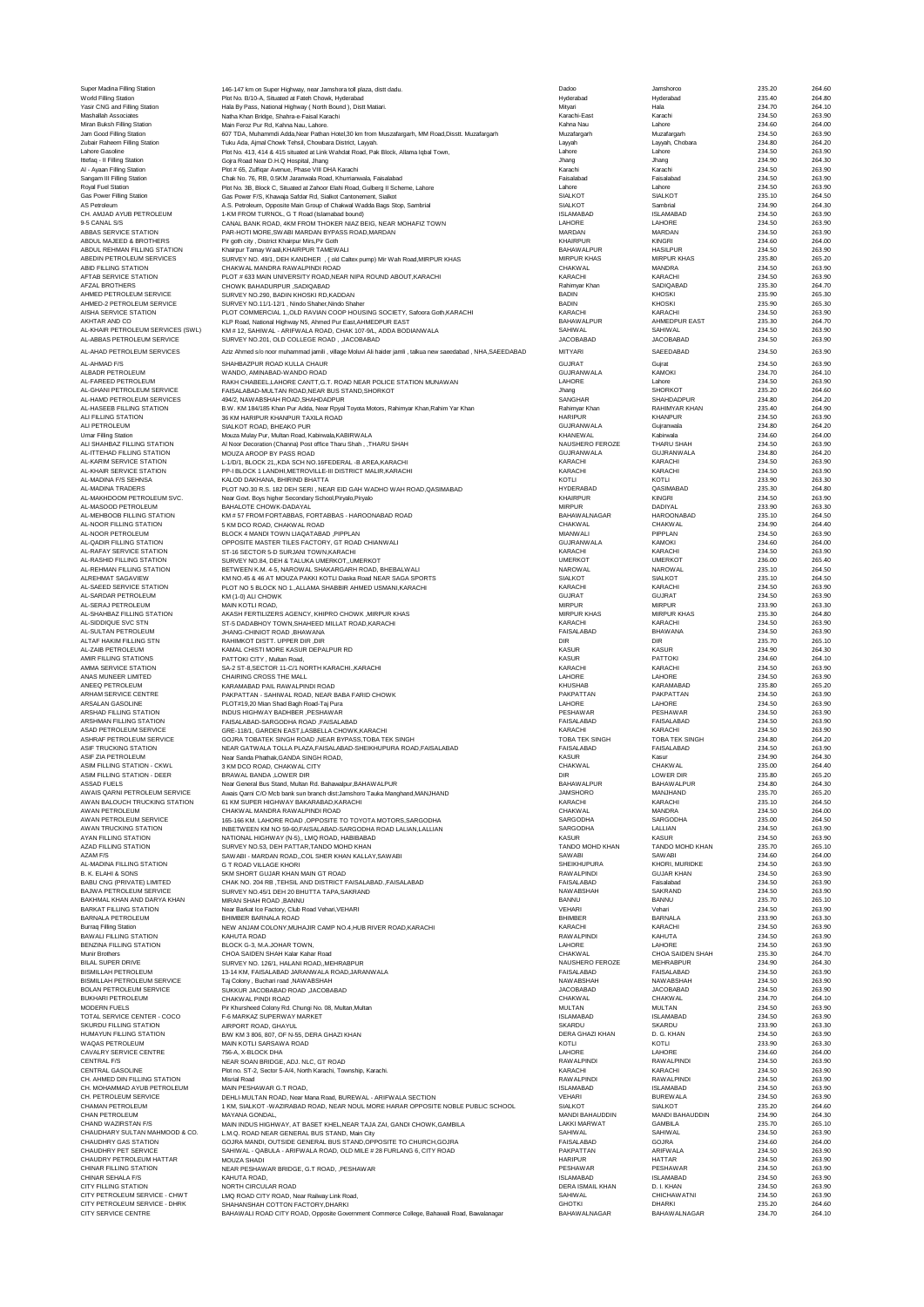| Super Madina Filling Station       | 146-147 km on Super Highway, near Jamshora toll plaza, distt dadu.                                            | Dadoo                   | Jamshoroo           | 235.20 | 264.60 |
|------------------------------------|---------------------------------------------------------------------------------------------------------------|-------------------------|---------------------|--------|--------|
| World Filling Station              | Plot No. B/10-A, Situated at Fateh Chowk, Hyderabad                                                           | Hyderabad               | Hyderabad           | 235.40 | 264.80 |
| Yasir CNG and Filling Station      | Hala By Pass, National Highway (North Bound), Distt Matiari.                                                  | Mitvari                 | Hala                | 234.70 | 264.10 |
| Mashallah Associates               | Natha Khan Bridge, Shahra-e-Faisal Karachi                                                                    | Karachi-East            | Karachi             | 234.50 | 263.90 |
| Miran Buksh Filling Station        | Main Feroz Pur Rd, Kahna Nau, Lahore.                                                                         | Kahna Nau               | Lahore              | 234.60 | 264.00 |
| Jam Good Filling Station           | 607 TDA, Muhammdi Adda, Near Pathan Hotel, 30 km from Muszafargarh, MM Road, Disstt. Muzafargarh              | Muzafargarh             | Muzafargarh         | 234.50 | 263.90 |
| Zubair Raheem Filling Station      | Tuku Ada, Ajmal Chowk Tehsil, Chowbara District, Layyah.                                                      | Layyah                  | Layyah, Chobara     | 234.80 | 264.20 |
| Lahore Gasoline                    | Plot No. 413, 414 & 415 situated at Link Wahdat Road, Pak Block, Allama Iqbal Town,                           | Lahore                  | Lahore              | 234.50 | 263.90 |
| Ittefag - Il Filling Station       | Gojra Road Near D.H.Q Hospital, Jhang                                                                         | Jhang                   | Jhang               | 234.90 | 264.30 |
| Al - Ayaan Filling Station         | Plot # 65, Zulfigar Avenue, Phase VIII DHA Karachi                                                            | Karachi                 | Karachi             | 234.50 | 263.90 |
| Sangam III Filling Station         | Chak No. 76, RB, 0.5KM Jaranwala Road, Khurrianwala, Faisalabad                                               | Faisalabad              | Faisalabad          | 234.50 | 263.90 |
| Royal Fuel Station                 | Plot No. 3B, Block C, Situated at Zahoor Elahi Road, Gulberg II Scheme, Lahore                                | Lahore                  | Lahore              | 234.50 | 263.90 |
| Gas Power Filling Station          | Gas Power F/S, Khawaja Safdar Rd, Sialkot Cantonement, Sialkot                                                | <b>SIALKOT</b>          | <b>SIALKOT</b>      | 235.10 | 264.50 |
| AS Petroleum                       | A.S. Petroleum, Opposite Main Group of Chakwal Wadda Bags Stop, Sambrial                                      | <b>SIALKOT</b>          | Sambrial            | 234.90 | 264.30 |
| CH. AMJAD AYUB PETROLEUM           | 1-KM FROM TURNOL, G T Road (Islamabad bound)                                                                  | <b>ISLAMABAD</b>        | <b>ISLAMABAD</b>    | 234.50 | 263.90 |
| 9-5 CANAL S/S                      | CANAL BANK ROAD, 4KM FROM THOKER NIAZ BEIG, NEAR MOHAFIZ TOWN                                                 | LAHORE                  | LAHORE              | 234.50 | 263.90 |
| ABBAS SERVICE STATION              | PAR-HOTI MORE, SWABI MARDAN BYPASS ROAD, MARDAN                                                               | MARDAN                  | MARDAN              | 234.50 | 263.90 |
| ABDUL MAJEED & BROTHERS            | Pir goth city, District Khairpur Mirs, Pir Goth                                                               | <b>KHAIRPUR</b>         | KINGRI              | 234.60 | 264.00 |
| ABDUL REHMAN FILLING STATION       | Khairpur Tamay Waali, KHAIRPUR TAMEWALI                                                                       | <b>BAHAWALPUR</b>       | <b>HASILPUR</b>     | 234.50 | 263.90 |
| ABEDIN PETROLEUM SERVICES          | SURVEY NO. 49/1, DEH KANDHER , ( old Caltex pump) Mir Wah Road, MIRPUR KHAS                                   | <b>MIRPUR KHAS</b>      | <b>MIRPUR KHAS</b>  | 235.80 | 265.20 |
| ABID FILLING STATION               | CHAKWAL MANDRA RAWALPINDI ROAD                                                                                | <b>CHAKWAL</b>          | MANDRA              | 234.50 | 263.90 |
| AFTAB SERVICE STATION              | PLOT # 633 MAIN UNIVERSITY ROAD, NEAR NIPA ROUND ABOUT, KARACHI                                               | KARACHI                 | KARACHI             | 234.50 | 263.90 |
| AFZAL BROTHERS                     | CHOWK BAHADURPUR , SADIQABAD                                                                                  | Rahimyar Khan           | SADIOABAD           | 235.30 | 264.70 |
| AHMED PETROLEUM SERVICE            | SURVEY NO.290, BADIN KHOSKI RD, KADDAN                                                                        | <b>BADIN</b>            | <b>KHOSKI</b>       | 235.90 | 265.30 |
| AHMED-2 PETROLEUM SERVICE          | SURVEY NO.11/1-12/1, Nindo Shaher, Nindo Shaher                                                               | <b>BADIN</b>            | <b>KHOSKI</b>       | 235.90 | 265.30 |
| AISHA SERVICE STATION              | PLOT COMMERCIAL 1, OLD RAVIAN COOP HOUSING SOCIETY, Safoora Goth, KARACHI                                     | KARACH                  | KARACHI             | 234.50 | 263.90 |
| AKHTAR AND CO                      | KLP Road, National Highway N5, Ahmed Pur East, AHMEDPUR EAST                                                  | <b>BAHAWALPUR</b>       | AHMEDPUR EAST       | 235.30 | 264.70 |
| AL-KHAIR PETROLEUM SERVICES (SWL)  | KM # 12, SAHIWAL - ARIFWALA ROAD, CHAK 107-9/L, ADDA BODIANWALA                                               | <b>SAHIWAL</b>          | SAHIWAL             | 234.50 | 263.90 |
| AL-ABBAS PETROLEUM SERVICE         | SURVEY NO.201, OLD COLLEGE ROAD, , JACOBABAD                                                                  | <b>JACOBABAD</b>        | JACOBABAD           | 234.50 | 263.90 |
| AL-AHAD PETROLEUM SERVICES         |                                                                                                               | MITYARI                 | SAEEDABAD           | 234.50 | 263.90 |
|                                    | Aziz Ahmed s/o noor muhammad jamili , village Moluvi Ali haider jamli , talkua new saeedabad , NHA, SAEEDABAD |                         |                     |        |        |
| AL-AHMAD F/S                       | SHAHBAZPUR ROAD KULLA CHAUR                                                                                   | <b>GUJRAT</b>           | Gujrat              | 234.50 | 263.90 |
| ALBADR PETROLEUM                   | WANDO, AMINABAD-WANDO ROAD                                                                                    | <b>GUJRANWALA</b>       | KAMOKI              | 234.70 | 264.10 |
| AL-FAREED PETROLEUM                | RAKH CHABEEL, LAHORE CANTT, G.T. ROAD NEAR POLICE STATION MUNAWAN                                             | LAHORE                  | Lahore              | 234.50 | 263.90 |
| AL-GHANI PETROLEUM SERVICE         | FAISALABAD-MULTAN ROAD, NEAR BUS STAND, SHORKOT                                                               | Jhang                   | <b>SHORKOT</b>      | 235.20 | 264.60 |
| AL-HAMD PETROLEUM SERVICES         | 494/2, NAW ABSHAH ROAD, SHAHDADPUR                                                                            | SANGHAR                 | SHAHDADPUR          | 234.80 | 264.20 |
| AL-HASEEB FILLING STATION          | B.W. KM 184/185 Khan Pur Adda, Near Rpyal Toyota Motors, Rahimyar Khan, Rahim Yar Khan                        | Rahimyar Khan           | RAHIMYAR KHAN       | 235.40 | 264.90 |
| ALI FILLING STATION                | 36 KM HARIPUR KHANPUR TAXILA ROAD                                                                             | <b>HARIPUR</b>          | <b>KHANPUR</b>      | 234.50 | 263.90 |
| ALI PETROLEUM                      | SIAI KOT ROAD, BHFAKO PUR                                                                                     | <b>GUJRANWALA</b>       | Guiranwala          | 234.80 | 264.20 |
| Umar Filling Station               | Mouza Mulay Pur, Multan Road, Kabirwala, KABIRWALA                                                            | <b>KHANEWAL</b>         | Kabirwala           | 234.60 | 264.00 |
| ALI SHAHBAZ FILLING STATION        | Al Noor Decoration (Channa) Post office Tharu Shah, , THARU SHAH                                              | NAUSHERO FEROZE         | THARU SHAH          | 234.50 | 263.90 |
| AL-ITTEHAD FILLING STATION         | MOUZA AROOP BY PASS ROAD                                                                                      | <b>GUJRANWALA</b>       | <b>GUJRANWALA</b>   | 234.80 | 264.20 |
| AL-KARIM SERVICE STATION           | L-1/D/1, BLOCK 21, KDA SCH NO.16FEDERAL -B AREA, KARACHI                                                      | KARACHI                 | KARACHI             | 234.50 | 263.90 |
| AL-KHAIR SERVICE STATION           | PP-I BLOCK 1 LANDHI, METROVILLE-III DISTRICT MALIR, KARACHI                                                   | KARACHI                 | KARACHI             | 234.50 | 263.90 |
| AL-MADINA F/S SEHNSA               | KAI OD DAKHANA. BHIRIND BHATTA                                                                                | KOTLI                   | KOTLI               | 233.90 | 263.30 |
| AI -MADINA TRADERS                 | PLOT NO.30 R.S. 182 DEH SERI, NEAR EID GAH WADHO WAH ROAD, QASIMABAD                                          | <b>HYDERABAD</b>        | QASIMABAD           | 235.30 | 264.80 |
| AL-MAKHDOOM PETROLEUM SVC.         | Near Govt. Boys higher Secondary School, Piryalo, Piryalo                                                     | <b>KHAIRPUR</b>         | <b>KINGRI</b>       | 234.50 | 263.90 |
| AL-MASOOD PETROLEUM                | BAHALOTE CHOWK-DADAYAL                                                                                        | <b>MIRPUR</b>           | DADIYAL             | 233.90 | 263.30 |
| AL-MEHBOOB FILLING STATION         | KM # 57 FROM FORTABBAS, FORTABBAS - HAROONABAD ROAD                                                           | <b>BAHAWALNAGAR</b>     | <b>HAROONABAD</b>   | 235.10 | 264.50 |
| AL-NOOR FILLING STATION            | 5 KM DCO ROAD, CHAKWAL ROAD                                                                                   | <b>CHAKWAL</b>          | <b>CHAKWAL</b>      | 234.90 | 264.40 |
| AL-NOOR PETROLEUM                  | BLOCK 4 MANDI TOWN LIAQATABAD , PIPPLAN                                                                       | <b>MIANWALI</b>         | PIPPLAN             | 234.50 | 263.90 |
| AL-QADIR FILLING STATION           | OPPOSITE MASTER TILES FACTORY. GT ROAD CHIANWALI                                                              | <b>GUJRANWALA</b>       | <b>KAMOKI</b>       | 234.60 | 264.00 |
| AL-RAFAY SERVICE STATION           | ST-16 SECTOR 5-D SURJANI TOWN.KARACHI                                                                         | KARACHI                 | KARACHI             | 234.50 | 263.90 |
| AL-RASHID FILLING STATION          | SURVEY NO.84, DEH & TALUKA UMERKOT, UMERKOT                                                                   | <b>UMERKOT</b>          | <b>UMERKOT</b>      | 236.00 | 265.40 |
| AL-REHMAN FILLING STATION          | BETWEEN K.M. 4-5, NAROWAL SHAKARGARH ROAD, BHEBALWALI                                                         | <b>NAROWAL</b>          | <b>NAROWAL</b>      | 235.10 | 264.50 |
| <b>ALREHMAT SAGAVIEW</b>           | KM NO.45 & 46 AT MOUZA PAKKI KOTLI Daska Road NEAR SAGA SPORTS                                                | <b>SIALKOT</b>          | <b>SIALKOT</b>      | 235.10 | 264.50 |
| AL-SAEED SERVICE STATION           | PLOT NO 5 BLOCK NO 1., ALLAMA SHABBIR AHMED USMANI, KARACHI                                                   | KARACHI                 | KARACHI             | 234.50 | 263.90 |
| AL-SARDAR PETROLEUM                | KM (1-0) ALI CHOWK                                                                                            | <b>GUJRAT</b>           | <b>GUJRAT</b>       | 234.50 | 263.90 |
| AL-SERAJ PETROLEUM                 | MAIN KOTLI ROAD.                                                                                              | <b>MIRPUR</b>           | <b>MIRPUR</b>       | 233.90 | 263.30 |
| AL-SHAHBAZ FILLING STATION         | AKASH FERTILIZERS AGENCY, KHIPRO CHOWK, MIRPUR KHAS                                                           | <b>MIRPUR KHAS</b>      | <b>MIRPUR KHAS</b>  | 235.30 | 264.80 |
| AL-SIDDIQUE SVC STN                | ST-5 DADABHOY TOWN, SHAHEED MILLAT ROAD, KARACHI                                                              | KARACHI                 | KARACHI             | 234.50 | 263.90 |
| AL-SULTAN PETROLEUM                | JHANG-CHINIOT ROAD, BHAWANA                                                                                   | FAISALABAD              | <b>BHAWANA</b>      | 234.50 | 263.90 |
| ALTAF HAKIM FILLING STN            | RAHIMKOT DISTT. UPPER DIR ,DIR                                                                                | <b>DIR</b>              | <b>DIR</b>          | 235.70 | 265.10 |
| AL-ZAIB PETROLEUM                  | KAMAL CHISTI MORE KASUR DEPALPUR RD                                                                           | <b>KASUR</b>            | <b>KASUR</b>        | 234.90 | 264.30 |
| AMIR FILLING STATIONS              | PATTOKI CITY, Multan Road,                                                                                    | <b>KASUR</b>            | PATTOKI             | 234.60 | 264.10 |
| AMMA SERVICE STATION               | SA-2 ST-8,SECTOR 11-C/1 NORTH KARACHI.,KARACHI                                                                | KARACHI                 | KARACHI             | 234.50 | 263.90 |
| ANAS MUNEER LIMITED                | CHAIRING CROSS THE MALL                                                                                       | LAHORE                  | LAHORE              | 234.50 | 263.90 |
| ANEEQ PETROLEUM                    | KARAMABAD PAIL RAWALPINDI ROAD                                                                                | <b>KHUSHAB</b>          | KARAMABAD           | 235.80 | 265.20 |
| ARHAM SERVICE CENTRE               | PAKPATTAN - SAHIWAL ROAD, NEAR BABA FARID CHOWK                                                               | PAKPATTAN               | PAKPATTAN           | 234.50 | 263.90 |
| ARSALAN GASOLINE                   | PLOT#19.20 Mian Shad Bagh Road-Tai Pura                                                                       | LAHORE                  | LAHORE              | 234.50 | 263.90 |
| ARSHAD FILLING STATION             | INDUS HIGHWAY BADHBER .PESHAWAR                                                                               | PESHAWAR                | PESHAWAR            | 234.50 | 263.90 |
| ARSHMAN FILLING STATION            | FAISALABAD-SARGODHA ROAD .FAISALABAD                                                                          | <b>FAISALABAD</b>       | <b>FAISALABAD</b>   | 234.50 | 263.90 |
| ASAD PETROLEUM SERVICE             | GRE-118/1, GARDEN EAST, LASBELLA CHOWK, KARACHI                                                               | KARACHI                 | KARACHI             | 234.50 | 263.90 |
| ASHRAF PETROLEUM SERVICE           | GOJRA TOBATEK SINGH ROAD , NEAR BYPASS, TOBA TEK SINGH                                                        | TOBA TEK SINGH          | TOBA TEK SINGH      | 234.80 | 264.20 |
| ASIF TRUCKING STATION              | NEAR GATWALA TOLLA PLAZA, FAISALABAD-SHEIKHUPURA ROAD, FAISALABAD                                             | FAISALABAD              | FAISALABAD          | 234.50 | 263.90 |
| ASIF ZIA PETROLEUM                 | Near Sanda Phathak, GANDA SINGH ROAD,                                                                         | <b>KASUR</b>            | Kasur               | 234.90 | 264.30 |
| ASIM FILLING STATION - CKWL        | 3 KM DCO ROAD, CHAKWAL CITY                                                                                   | CHAKWAL                 | CHAKWAL             | 235.00 | 264.40 |
| ASIM FILLING STATION - DEER        | BRAWAL BANDA .LOWER DIR                                                                                       | DIR                     | <b>LOWER DIR</b>    | 235.80 | 265.20 |
| ASSAD FUELS                        | Near General Bus Stand, Multan Rd. Bahawalpur, BAHAW ALPUR                                                    | <b>BAHAWALPUR</b>       | <b>BAHAWALPUR</b>   | 234.80 | 264.30 |
| AWAIS QARNI PETROLEUM SERVICE      | Awais Qarni C/O Mcb bank sun branch dist:Jamshoro Tauka Manghand, MANJHAND                                    | <b>JAMSHORO</b>         | MANJHAND            | 235.70 | 265.20 |
| AWAN BALOUCH TRUCKING STATION      | 61 KM SUPER HIGHWAY BAKARABAD, KARACHI                                                                        | KARACHI                 | KARACHI             | 235.10 | 264.50 |
| AWAN PETROLEUM                     | CHAKWAL MANDRA RAWALPINDI ROAD                                                                                | <b>CHAKWAL</b>          | <b>MANDRA</b>       | 234.50 | 264.00 |
| AWAN PETROLEUM SERVICE             | 165-166 KM. LAHORE ROAD , OPPOSITE TO TOYOTA MOTORS, SARGODHA                                                 | SARGODHA                | SARGODHA            | 235.00 | 264.50 |
| AWAN TRUCKING STATION              | INBETWEEN KM NO 59-60, FAISALABAD-SARGODHA ROAD LALIAN, LALLIAN                                               | SARGODHA                | LALLIAN             | 234.50 | 263.90 |
| AYAN FILLING STATION               | NATIONAL HIGHWAY (N-5) LMQ ROAD, HABIBABAD                                                                    | KASUR                   | <b>KASUR</b>        | 234.50 | 263.90 |
| <b>AZAD FILLING STATION</b>        | SURVEY NO.53, DEH PATTAR, TANDO MOHD KHAN                                                                     | TANDO MOHD KHAN         | TANDO MOHD KHAN     | 235.70 | 265.10 |
| AZAM F/S                           | SAWABI - MARDAN ROAD,, COL SHER KHAN KALLAY, SAWABI                                                           | SAWABI                  | SAWABI              | 234.60 | 264.00 |
| AL-MADINA FILLING STATION          | G T ROAD VILLAGE KHORI                                                                                        | SHEIKHUPURA             | KHORI, MURIDKE      | 234.50 | 263.90 |
| B. K. ELAHI & SONS                 | 5KM SHORT GUJAR KHAN MAIN GT ROAD                                                                             | <b>RAWAI PINDI</b>      | <b>GUJAR KHAN</b>   | 234.50 | 263.90 |
| BABU CNG (PRIVATE) LIMITED         | CHAK NO. 204 RB, TEHSIL AND DISTRICT FAISALABAD., FAISALABAD                                                  | <b>FAISALABAD</b>       | Faisalabad          | 234.50 | 263.90 |
| BAJWA PETROLEUM SERVICE            | SURVEY NO.45/1 DEH 20 BHUTTA TAPA, SAKRAND                                                                    | <b>NAWABSHAH</b>        | SAKRAND             | 234.50 | 263.90 |
| BAKHMAL KHAN AND DARYA KHAN        | MIRAN SHAH ROAD, BANNU                                                                                        | BANNU                   | BANNU               | 235.70 | 265.10 |
| <b>BARKAT FILLING STATION</b>      | Near Barkat Ice Factory, Club Road Vehari, VEHARI                                                             | VEHARI                  | Vehari              | 234.50 | 263.90 |
| BARNALA PETROLEUM                  | BHIMBER BARNALA ROAD                                                                                          | <b>BHIMBER</b>          | BARNALA             | 233.90 | 263.30 |
| <b>Burraq Filling Station</b>      | NEW ANJAM COLONY, MUHAJIR CAMP NO.4, HUB RIVER ROAD, KARACHI                                                  | KARACHI                 | KARACHI             | 234.50 | 263.90 |
| BAWALLEILLING STATION              | KAHUTA ROAD                                                                                                   | <b>RAWALPINDI</b>       | KAHUTA              | 234.50 | 263.90 |
| <b>BENZINA FILLING STATION</b>     | BLOCK G-3, M.A.JOHAR TOWN.                                                                                    | LAHORE                  | LAHORE              | 234.50 | 263.90 |
| Munir Brothers                     | CHOA SAIDEN SHAH Kalar Kahar Road                                                                             | <b>CHAKWAL</b>          | CHOA SAIDEN SHAH    | 235.30 | 264.70 |
| BILAL SUPER DRIVE                  | SURVEY NO. 126/1, HALANI ROAD, MEHRABPUR                                                                      | NAUSHERO FEROZE         | MEHRABPUR           | 234.90 | 264.30 |
| <b>BISMILLAH PETROLEUM</b>         | 13-14 KM, FAISALABAD JARANWALA ROAD, JARANWALA                                                                | FAISALABAD              | FAISALABAD          | 234.50 | 263.90 |
| <b>BISMILLAH PETROLEUM SERVICE</b> | Taj Colony, Buchari road, NAWABSHAH                                                                           | <b>NAWABSHAH</b>        | <b>NAWABSHAH</b>    | 234.50 | 263.90 |
| BOLAN PETROLEUM SERVICE            | SUKKUR JACOBABAD ROAD, JACOBABAD                                                                              | <b>JACOBABAD</b>        | <b>JACOBABAD</b>    | 234.50 | 263.90 |
| <b>BUKHARI PETROLEUM</b>           | CHAKWAL PINDI ROAD                                                                                            | <b>CHAKWAL</b>          | <b>CHAKWAL</b>      | 234.70 | 264.10 |
| MODERN FUELS                       | Pir Khursheed Colony Rd. Chungi No. 08, Multan, Multan                                                        | <b>MULTAN</b>           | <b>MULTAN</b>       | 234.50 | 263.90 |
| TOTAL SERVICE CENTER - COCO        | F-6 MARKAZ SUPERWAY MARKET                                                                                    | <b>ISLAMABAD</b>        | <b>ISLAMABAD</b>    | 234.50 | 263.90 |
| SKURDU FILLING STATION             | AIRPORT ROAD, GHAYUL                                                                                          | SKARDU                  | SKARDU              | 233.90 | 263.30 |
| HUMAYUN FILLING STATION            | B/W KM 3 806, 807, OF N-55, DERA GHAZI KHAN                                                                   | DERA GHAZI KHAN         | D. G. KHAN          | 234.50 | 263.90 |
| WAQAS PETROLEUM                    | MAIN KOTLI SARSAWA ROAD                                                                                       | KOTLI                   | KOTLI               | 233.90 | 263.30 |
| CAVALRY SERVICE CENTRE             | 756-A. X-BLOCK DHA                                                                                            | LAHORE                  | LAHORE              | 234.60 | 264.00 |
| CENTRAL F/S                        | NEAR SOAN BRIDGE, ADJ, NLC, GT ROAD                                                                           | <b>RAWALPINDI</b>       | <b>RAWALPINDI</b>   | 234.50 | 263.90 |
| CENTRAL GASOLINE                   | Plot no. ST-2, Sector 5-A/4, North Karachi, Township, Karachi.                                                | KARACHI                 | KARACHI             | 234.50 | 263.90 |
| CH. AHMED DIN FILLING STATION      | Misrial Road                                                                                                  | <b>RAWALPINDI</b>       | <b>RAWALPINDI</b>   | 234.50 | 263.90 |
| CH. MOHAMMAD AYUB PETROLEUM        | MAIN PESHAWAR G.T ROAD,                                                                                       | <b>ISLAMABAD</b>        | <b>ISLAMABAD</b>    | 234.50 | 263.90 |
| CH. PETROLEUM SERVICE              | DEHLI-MULTAN ROAD, Near Mana Road, BUREWAL - ARIFWALA SECTION                                                 | <b>VEHARI</b>           | <b>BUREWALA</b>     | 234.50 | 263.90 |
| CHAMAN PETROLEUM                   | 1 KM, SIALKOT - WAZIRABAD ROAD, NEAR NOUL MORE HARAR OPPOSITE NOBLE PUBLIC SCHOOL                             | <b>SIALKOT</b>          | <b>SIALKOT</b>      | 235.20 | 264.60 |
| CHAN PETROLEUM                     | MAYANA GONDAL.                                                                                                | MANDI BAHAUDDIN         | MANDI BAHAUDDIN     | 234.90 | 264.30 |
| CHAND WAZIRSTAN F/S                | MAIN INDUS HIGHWAY, AT BASET KHEL, NEAR TAJA ZAI, GANDI CHOWK, GAMBILA                                        | <b>LAKKI MARWAT</b>     | <b>GAMBILA</b>      | 235.70 | 265.10 |
| CHAUDHARY SULTAN MAHMOOD & CO.     | L.M.Q. ROAD NEAR GENERAL BUS STAND, Main City                                                                 | <b>SAHIWAL</b>          | <b>SAHIWAL</b>      | 234.50 | 263.90 |
| CHAUDHRY GAS STATION               | GOJRA MANDI, OUTSIDE GENERAL BUS STAND, OPPOSITE TO CHURCH, GOJRA                                             | FAISALABAD              | GOJRA               | 234.60 | 264.00 |
| CHAUDHRY PET SERVICE               | SAHIWAL - QABULA - ARIFWALA ROAD, OLD MILE # 28 FURLANG 6, CITY ROAD                                          | PAKPATTAN               | <b>ARIFWALA</b>     | 234.50 | 263.90 |
| CHAUDRY PETROLEUM HATTAR           | MOUZA SHADI                                                                                                   | <b>HARIPUR</b>          | <b>HATTAR</b>       | 234.50 | 263.90 |
| CHINAR FILLING STATION             | NEAR PESHAWAR BRIDGE, G.T ROAD, , PESHAWAR                                                                    | PESHAWAR                | PESHAWAR            | 234.50 | 263.90 |
| CHINAR SEHALA F/S                  | KAHUTA ROAD,                                                                                                  | <b>ISLAMABAD</b>        | <b>ISLAMABAD</b>    | 234.50 | 263.90 |
| CITY FILLING STATION               | NORTH CIRCULAR ROAD                                                                                           | <b>DERA ISMAIL KHAN</b> | D. I. KHAN          | 234.50 | 263.90 |
| CITY PETROLEUM SERVICE - CHWT      | LMQ ROAD CITY ROAD, Near Railway Link Road,                                                                   | SAHIWAL                 | <b>CHICHAWATNI</b>  | 234.50 | 263.90 |
| CITY PETROLEUM SERVICE - DHRK      | SHAHANSHAH COTTON FACTORY, DHARKI                                                                             | <b>GHOTKI</b>           | <b>DHARKI</b>       | 235.20 | 264.60 |
|                                    |                                                                                                               |                         |                     |        |        |
| CITY SERVICE CENTRE                | BAHAWALI ROAD CITY ROAD, Opposite Government Commerce College, Bahawali Road, Bawalanagar                     | <b>BAHAWALNAGAR</b>     | <b>BAHAWALNAGAR</b> | 234.70 | 264.10 |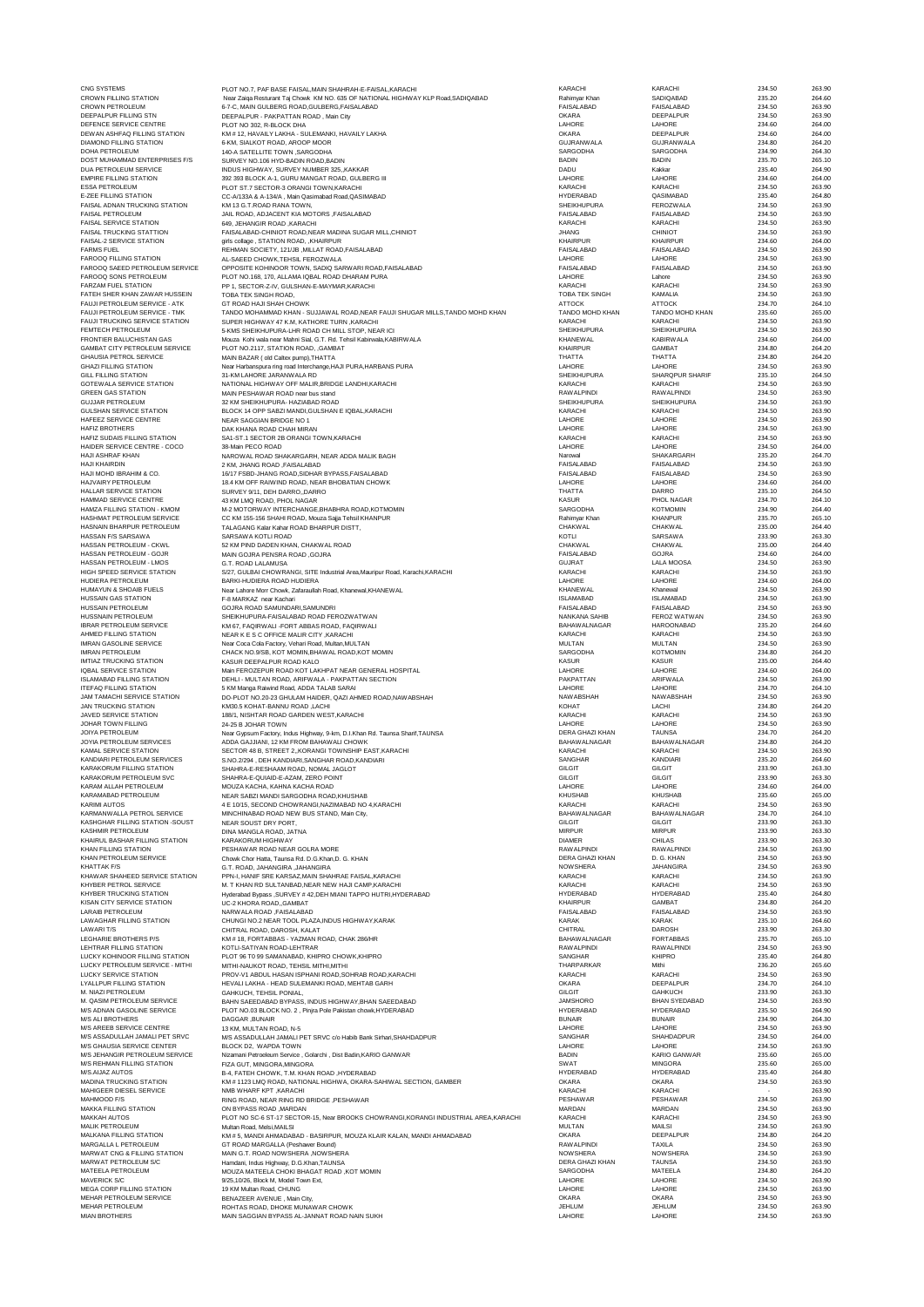| CNG SYSTEMS<br><b>CROWN FILLING STATION</b>                            | PLOT NO.7, PAF BASE FAISAL, MAIN SHAHRAH-E-FAISAL, KARACHI                                                                         | KARACHI                                | KARACHI<br>SADIQABAD                     | 234.50<br>235.20 | 263.90<br>264.60 |
|------------------------------------------------------------------------|------------------------------------------------------------------------------------------------------------------------------------|----------------------------------------|------------------------------------------|------------------|------------------|
| <b>CROWN PETROLEUM</b>                                                 | Near Zaiqa Resturant Taj Chowk KM NO. 635 OF NATIONAL HIGHWAY KLP Road, SADIQABAD<br>6-7-C, MAIN GULBERG ROAD, GULBERG, FAISALABAD | Rahimyar Khan<br>FAISALABAD            | FAISALABAD                               | 234.50           | 263.90           |
| DEEPALPUR FILLING STN                                                  | DEEPALPUR - PAKPATTAN ROAD, Main City                                                                                              | <b>OKARA</b>                           | DEEPALPUR                                | 234.50           | 263.90           |
| DEFENCE SERVICE CENTRE<br>DEWAN ASHFAQ FILLING STATION                 | PLOT NO 302, R-BLOCK DHA<br>KM # 12, HAVAILY LAKHA - SULEMANKI, HAVAILY LAKHA                                                      | LAHORE<br><b>OKARA</b>                 | LAHORE<br>DEEPALPUR                      | 234.60<br>234.60 | 264.00<br>264.00 |
| <b>DIAMOND FILLING STATION</b>                                         | 6-KM, SIALKOT ROAD, AROOP MOOR                                                                                                     | <b>GUJRANWALA</b>                      | <b>GUJRANWALA</b>                        | 234.80           | 264.20           |
| <b>DOHA PETROLEUM</b><br>DOST MUHAMMAD ENTERPRISES F/S                 | 140-A SATELLITE TOWN , SARGODHA<br>SURVEY NO.106 HYD-BADIN ROAD.BADIN                                                              | SARGODHA<br><b>BADIN</b>               | SARGODHA<br><b>BADIN</b>                 | 234.90<br>235.70 | 264.30<br>265.10 |
| DUA PETROLEUM SERVICE                                                  | INDUS HIGHWAY, SURVEY NUMBER 325, KAKKAR                                                                                           | DADU                                   | Kakkar                                   | 235.40           | 264.90           |
| <b>EMPIRE FILLING STATION</b>                                          | 392 393 BLOCK A-1, GURU MANGAT ROAD, GULBERG III                                                                                   | LAHORE                                 | LAHORE                                   | 234.60           | 264.00           |
| <b>ESSA PETROLEUM</b><br>E-ZEE FILLING STATION                         | PLOT ST.7 SECTOR-3 ORANGI TOWN, KARACHI<br>CC-A/133A & A-134/A, Main Qasimabad Road, QASIMABAD                                     | KARACHI<br>HYDERABAD                   | KARACHI<br>QASIMABAD                     | 234.50<br>235.40 | 263.90<br>264.80 |
| FAISAL ADNAN TRUCKING STATION                                          | KM 13 G.T.ROAD RANA TOWN,                                                                                                          | SHEIKHUPURA                            | FEROZWALA                                | 234.50           | 263.90           |
| <b>FAISAL PETROLEUM</b><br><b>FAISAL SERVICE STATION</b>               | JAIL ROAD, ADJACENT KIA MOTORS, FAISALABAD                                                                                         | FAISALABAD<br>KARACH                   | FAISALABAD<br>KARACHI                    | 234.50<br>234.50 | 263.90<br>263.90 |
| <b>FAISAL TRUCKING STATTION</b>                                        | 649, JEHANGIR ROAD, KARACHI<br>FAISALABAD-CHINIOT ROAD, NEAR MADINA SUGAR MILL, CHINIOT                                            | <b>JHANG</b>                           | CHINIOT                                  | 234.50           | 263.90           |
| FAISAL-2 SERVICE STATION                                               | girls collage . STATION ROAD, .KHAIRPUR                                                                                            | <b>KHAIRPUR</b>                        | <b>KHAIRPUR</b>                          | 234.60           | 264.00           |
| <b>FARMS FUEL</b><br><b>FAROOQ FILLING STATION</b>                     | REHMAN SOCIETY, 121/JB , MILLAT ROAD, FAISALABAD<br>AL-SAEED CHOWK, TEHSIL FEROZWALA                                               | FAISALABAD<br>LAHORE                   | FAISALABAD<br>LAHORE                     | 234.50<br>234.50 | 263.90<br>263.90 |
| FAROOQ SAEED PETROLEUM SERVICE                                         | OPPOSITE KOHINOOR TOWN, SADIQ SARWARI ROAD, FAISALABAD                                                                             | FAISALABAD                             | FAISALABAD                               | 234.50           | 263.90           |
| FAROOQ SONS PETROLEUM                                                  | PLOT NO.168, 170, ALLAMA IQBAL ROAD DHARAM PURA                                                                                    | LAHORE                                 | Lahore                                   | 234.50           | 263.90           |
| <b>FARZAM FUEL STATION</b><br>FATEH SHER KHAN ZAWAR HUSSEIN            | PP 1, SECTOR-Z-IV, GULSHAN-E-MAYMAR, KARACHI<br>TOBA TEK SINGH ROAD.                                                               | KARACH<br>TOBA TEK SINGH               | KARACH<br>KAMALIA                        | 234.50<br>234.50 | 263.90<br>263.90 |
| FAUJI PETROLEUM SERVICE - ATK                                          | GT ROAD HAJI SHAH CHOWK                                                                                                            | <b>ATTOCK</b>                          | <b>ATTOCK</b>                            | 234.70           | 264.10           |
| FAUJI PETROLEUM SERVICE - TMK<br><b>FAUJI TRUCKING SERVICE STATION</b> | TANDO MOHAMMAD KHAN - SUJJAWAL ROAD, NEAR FAUJI SHUGAR MILLS, TANDO MOHD KHAN                                                      | TANDO MOHD KHAN<br>KARACHI             | TANDO MOHD KHAN<br>KARACHI               | 235.60<br>234.50 | 265.00<br>263.90 |
| <b>FEMTECH PETROLEUM</b>                                               | SUPER HIGHWAY 47 K.M, KATHORE TURN ,KARACHI<br>5-KMS SHEIKHUPURA-LHR ROAD CH MILL STOP, NEAR ICI                                   | SHEIKHUPURA                            | SHEIKHUPURA                              | 234.50           | 263.90           |
| FRONTIER BALUCHISTAN GAS                                               | Mouza Kohi wala near Mahni Sial, G.T. Rd. Tehsil Kabirwala, KABIRWALA                                                              | KHANEWAL                               | <b>KABIRWALA</b>                         | 234.60           | 264.00           |
| GAMBAT CITY PETROLEUM SERVICE<br><b>GHAUSIA PETROL SERVICE</b>         | PLOT NO.2117, STATION ROAD, , GAMBAT<br>MAIN BAZAR (old Caltex pump), THATTA                                                       | <b>KHAIRPUR</b><br>THATTA              | GAMBAT<br>THATTA                         | 234.80<br>234.80 | 264.20<br>264.20 |
| <b>GHAZI FILLING STATION</b>                                           | Near Harbanspura ring road Interchange, HAJI PURA, HARBANS PURA                                                                    | LAHORE                                 | LAHORE                                   | 234.50           | 263.90           |
| GILL FILLING STATION                                                   | 31-KM LAHORE JARANWALA RD                                                                                                          | SHEIKHUPURA                            | SHARQPUR SHARIF                          | 235.10           | 264.50           |
| GOTEWALA SERVICE STATION<br><b>GREEN GAS STATION</b>                   | NATIONAL HIGHWAY OFF MALIR, BRIDGE LANDHI, KARACHI<br>MAIN PESHAWAR ROAD near bus stand                                            | KARACH<br><b>RAWALPINDI</b>            | KARACHI<br><b>RAWALPINDI</b>             | 234.50<br>234.50 | 263.90<br>263.90 |
| <b>GUJJAR PETROLEUM</b>                                                | 32 KM SHEIKHUPURA- HAZIABAD ROAD                                                                                                   | <b>SHEIKHUPURA</b>                     | SHEIKHUPURA                              | 234.50           | 263.90           |
| <b>GULSHAN SERVICE STATION</b>                                         | BLOCK 14 OPP SABZI MANDI, GULSHAN E IQBAL, KARACHI                                                                                 | KARACHI                                | KARACHI                                  | 234.50           | 263.90           |
| HAFEEZ SERVICE CENTRE<br><b>HAFIZ BROTHERS</b>                         | NEAR SAGGIAN BRIDGE NO 1<br>DAK KHANA ROAD CHAH MIRAN                                                                              | LAHORE<br>LAHORE                       | LAHORE<br>LAHORE                         | 234.50<br>234.50 | 263.90<br>263.90 |
| HAFIZ SUDAIS FILLING STATION                                           | SA1-ST.1 SECTOR 2B ORANGI TOWN, KARACHI                                                                                            | KARACH                                 | KARACH                                   | 234.50           | 263.90           |
| HAIDER SERVICE CENTRE - COCO                                           | 38-Main PECO ROAD                                                                                                                  | LAHORE                                 | LAHORE                                   | 234.50           | 264.00           |
| <b>HAJI ASHRAF KHAN</b><br><b>HAJI KHAIRDIN</b>                        | NAROWAL ROAD SHAKARGARH, NEAR ADDA MALIK BAGH<br>2 KM, JHANG ROAD , FAISALABAD                                                     | Narowal<br>FAISALABAD                  | SHAKARGARH<br>FAISALABAD                 | 235.20<br>234.50 | 264.70<br>263.90 |
| HAJI MOHD IBRAHIM & CO.                                                | 16/17 FSBD-JHANG ROAD, SIDHAR BYPASS, FAISALABAD                                                                                   | <b>FAISALABAD</b>                      | FAISALABAD                               | 234.50           | 263.90           |
| HAJVAIRY PETROLEUM                                                     | 18.4 KM OFF RAIWIND ROAD, NEAR BHOBATIAN CHOWK                                                                                     | LAHORE                                 | LAHORE                                   | 234.60           | 264.00           |
| <b>HALLAR SERVICE STATION</b><br>HAMMAD SERVICE CENTRE                 | SURVEY 9/11, DEH DARRO, DARRO<br>43 KM LMQ ROAD, PHOL NAGAR                                                                        | THATTA<br><b>KASUR</b>                 | DARRO<br>PHOL NAGAR                      | 235.10<br>234.70 | 264.50<br>264.10 |
| HAMZA FILLING STATION - KMOM                                           | M-2 MOTORWAY INTERCHANGE, BHABHRA ROAD, KOTMOMIN                                                                                   | SARGODHA                               | <b>KOTMOMIN</b>                          | 234.90           | 264.40           |
| HASHMAT PETROLEUM SERVICE                                              | CC KM 155-156 SHAHLROAD, Mouza Salia Tehsil KHANPUR                                                                                | Rahimyar Khan                          | <b>KHANPUR</b>                           | 235.70           | 265.10           |
| HASNAIN BHARPUR PETROLEUM<br>HASSAN F/S SARSAWA                        | TALAGANG Kalar Kahar ROAD BHARPUR DISTT,<br>SARSAWA KOTLI ROAD                                                                     | <b>CHAKWAL</b><br>KOTLI                | <b>CHAKWAL</b><br>SARSAWA                | 235.00<br>233.90 | 264.40<br>263.30 |
| HASSAN PETROLEUM - CKWL                                                | 52 KM PIND DADEN KHAN, CHAKWAL ROAD                                                                                                | <b>CHAKWAL</b>                         | <b>CHAKWAL</b>                           | 235.00           | 264.40           |
| HASSAN PETROLEUM - GOJR                                                | MAIN GOJRA PENSRA ROAD, GOJRA                                                                                                      | FAISALABAD                             | GOJRA                                    | 234.60           | 264.00           |
| HASSAN PETROLEUM - LMOS<br>HIGH SPEED SERVICE STATION                  | G.T. ROAD LALAMUSA<br>S/27, GULBAI CHOWRANGI, SITE Industrial Area.Mauripur Road, Karachi.KARACH                                   | GUJRAT<br>KARACHI                      | <b>LALA MOOSA</b><br>KARACHI             | 234.50<br>234.50 | 263.90<br>263.90 |
| HUDIERA PETROLEUM                                                      | BARKI-HUDIERA ROAD HUDIERA                                                                                                         | LAHORE                                 | LAHORE                                   | 234.60           | 264.00           |
| HUMAYUN & SHOAIB FUELS                                                 | Near Lahore Morr Chowk, Zafaraullah Road, Khanewal, KHANEWAL                                                                       | <b>KHANEWAL</b>                        | Khanewal                                 | 234.50           | 263.90           |
| <b>HUSSAIN GAS STATION</b><br><b>HUSSAIN PETROLEUM</b>                 | F-8 MARKAZ near Kachar<br>GOJRA ROAD SAMUNDARI, SAMUNDRI                                                                           | <b>ISLAMABAD</b><br>FAISALABAD         | <b>ISLAMABAD</b><br><b>FAISALABAD</b>    | 234.50<br>234.50 | 263.90<br>263.90 |
| <b>HUSSNAIN PETROLEUM</b>                                              | SHEIKHUPURA-FAISALABAD ROAD FEROZWATWAN                                                                                            | NANKANA SAHIB                          | <b>FEROZ WATWAN</b>                      | 234.50           | 263.90           |
| <b>IBRAR PETROLEUM SERVICE</b>                                         | KM 67, FAQIRWALI - FORT ABBAS ROAD, FAQIRWALI                                                                                      | <b>BAHAWALNAGAR</b>                    | <b>HAROONABAD</b>                        | 235.20           | 264.60           |
| AHMED FILLING STATION<br><b>IMRAN GASOLINE SERVICE</b>                 | NEAR K E S C OFFICE MALIR CITY, KARACHI<br>Near Coca Cola Factory, Vehari Road, Multan, MULTAN                                     | KARACHI<br>MULTAN                      | KARACHI<br>MULTAN                        | 234.50<br>234.50 | 263.90<br>263.90 |
| <b>IMRAN PETROLEUM</b>                                                 | CHACK NO.9/SB, KOT MOMIN, BHAW AL ROAD, KOT MOMIN                                                                                  | SARGODHA                               | <b>KOTMOMIN</b>                          | 234.80           | 264.20           |
| <b>IMTIAZ TRUCKING STATION</b><br><b>IQBAL SERVICE STATION</b>         | KASUR DEEPALPUR ROAD KALO                                                                                                          | <b>KASUR</b><br>LAHORE                 | <b>KASUR</b><br>LAHORE                   | 235.00<br>234.60 | 264.40<br>264.00 |
| ISI AMABAD FILLING STATION                                             | Main FEROZEPUR ROAD KOT LAKHPAT NEAR GENERAL HOSPITAL<br>DEHLI - MULTAN ROAD, ARIFWALA - PAKPATTAN SECTION                         | PAKPATTAN                              | <b>ARIFWALA</b>                          | 234.50           | 263.90           |
| <b>ITEFAQ FILLING STATION</b>                                          | 5 KM Manga Raiwind Road, ADDA TALAB SARAI                                                                                          | LAHORE                                 | LAHORE                                   | 234.70           | 264.10           |
| <b>JAM TAMACHI SERVICE STATION</b><br><b>JAN TRUCKING STATION</b>      | DO-PLOT NO.20-23 GHULAM HAIDER, QAZI AHMED ROAD, NAW ABSHAH                                                                        | <b>NAWABSHAH</b><br>KOHAT              | <b>NAWABSHAH</b><br>LACHI                | 234.50<br>234.80 | 263.90<br>264.20 |
| <b>JAVED SERVICE STATION</b>                                           | KM30.5 KOHAT-BANNU ROAD, LACHI<br>188/1, NISHTAR ROAD GARDEN WEST, KARACHI                                                         | KARACH                                 | KARACHI                                  | 234.50           | 263.90           |
| <b>JOHAR TOWN FILLING</b>                                              | 24-25 B JOHAR TOWN                                                                                                                 | LAHORE                                 | LAHORE                                   | 234.50           | 263.90           |
| <b>JOIYA PETROLEUM</b><br>JOYIA PETROLEUM SERVICES                     | Near Gypsum Factory, Indus Highway, 9-km, D.I.Khan Rd. Taunsa Sharif, TAUNSA<br>ADDA GA.I.IIANI. 12 KM FROM BAHAWAI I CHOWK        | DERA GHAZI KHAN<br><b>BAHAWALNAGAR</b> | <b>TAUNSA</b><br><b>BAHAWALNAGAR</b>     | 234.70<br>234.80 | 264.20<br>264.20 |
| KAMAL SERVICE STATION                                                  | SECTOR 48 B, STREET 2, KORANGI TOWNSHIP EAST, KARACHI                                                                              | KARACHI                                | KARACHI                                  | 234.50           | 263.90           |
| KANDIARI PETROLEUM SERVICES                                            | S.NO.2/294, DEH KANDIARI, SANGHAR ROAD, KANDIARI                                                                                   | SANGHAR                                | KANDIARI                                 | 235.20           | 264.60           |
| KARAKORUM FILLING STATION<br>KARAKORUM PETROLEUM SVC                   | SHAHRA-E-RESHAAM ROAD, NOMAL JAGLOT<br>SHAHRA-E-QUIAID-E-AZAM, ZERO POINT                                                          | GILGIT<br>GILGIT                       | GILGIT<br>GILGIT                         | 233.90<br>233.90 | 263.30<br>263.30 |
| KARAM ALLAH PETROLEUM                                                  | MOUZA KACHA, KAHNA KACHA ROAD                                                                                                      | LAHORE                                 | LAHORE                                   | 234.60           | 264.00           |
| KARAMABAD PETROLEUM<br><b>KARIMI AUTOS</b>                             | NEAR SABZI MANDI SARGODHA ROAD.KHUSHAB                                                                                             | <b>KHUSHAB</b><br>KARACHI              | <b>KHUSHAB</b><br>KARACHI                | 235.60           | 265.00           |
| KARMANWALLA PETROL SERVICE                                             | 4 E 10/15, SECOND CHOWRANGI, NAZIMABAD NO 4, KARACHI<br>MINCHINABAD ROAD NEW BUS STAND, Main City,                                 | <b>BAHAWALNAGAR</b>                    | <b>BAHAWALNAGAR</b>                      | 234.50<br>234.70 | 263.90<br>264.10 |
| KASHGHAR FILLING STATION -SOUST                                        | NEAR SOUST DRY PORT,                                                                                                               | GILGIT                                 | GILGIT                                   | 233.90           | 263.30           |
| KASHMIR PETROLEUM<br>KHAIRUL BASHAR FILLING STATION                    | DINA MANGLA ROAD, JATNA<br><b>KARAKORUM HIGHWAY</b>                                                                                | <b>MIRPUR</b><br><b>DIAMER</b>         | <b>MIRPUR</b><br>CHILAS                  | 233.90<br>233.90 | 263.30<br>263.30 |
| KHAN FILLING STATION                                                   | PESHAWAR ROAD NEAR GOLRA MORE                                                                                                      | <b>RAWALPINDI</b>                      | <b>RAWALPINDI</b>                        | 234.50           | 263.90           |
| KHAN PETROLEUM SERVICE                                                 | Chowk Chor Hatta, Taunsa Rd, D.G.Khan,D. G. KHAN                                                                                   | DERA GHAZI KHAN                        | D. G. KHAN                               | 234.50           | 263.90           |
| <b>KHATTAK F/S</b><br>KHAWAR SHAHEED SERVICE STATION                   | G.T. ROAD, JAHANGIRA ,JAHANGIRA<br>PPN-I, HANIF SRE KARSAZ, MAIN SHAHRAE FAISAL, KARACHI                                           | <b>NOW SHERA</b><br>KARACHI            | <b>JAHANGIRA</b><br>KARACHI              | 234.50<br>234.50 | 263.90<br>263.90 |
| KHYBER PETROL SERVICE                                                  | M. T KHAN RD SULTANBAD, NEAR NEW HAJI CAMP, KARACHI                                                                                | KARACHI                                | KARACHI                                  | 234.50           | 263.90           |
| <b>KHYBER TRUCKING STATION</b>                                         | Hyderabad Bypass , SURVEY #42, DEH MIANI TAPPO HUTRI, HYDERABAD                                                                    | <b>HYDERABAD</b>                       | <b>HYDERABAD</b>                         | 235.40           | 264.80           |
| KISAN CITY SERVICE STATION<br><b>LARAIB PETROLEUM</b>                  | UC-2 KHORA ROAD,, GAMBAT<br>NARWALA ROAD ,FAISALABAD                                                                               | <b>KHAIRPUR</b><br>FAISALABAD          | GAMBAT<br><b>FAISALABAD</b>              | 234.80<br>234.50 | 264.20<br>263.90 |
| <b>LAWAGHAR FILLING STATION</b>                                        | CHUNGI NO.2 NEAR TOOL PLAZA, INDUS HIGHWAY, KARAK                                                                                  | <b>KARAK</b>                           | <b>KARAK</b>                             | 235.10           | 264.60           |
| LAWARI T/S<br><b>LEGHARIE BROTHERS P/S</b>                             | CHITRAL ROAD, DAROSH, KALAT<br>KM # 18, FORTABBAS - YAZMAN ROAD, CHAK 286/HR                                                       | CHITRAL<br><b>BAHAWALNAGAR</b>         | DAROSH<br><b>FORTABBAS</b>               | 233.90<br>235.70 | 263.30<br>265.10 |
| LEHTRAR FILLING STATION                                                | KOTLI-SATIYAN ROAD-LEHTRAR                                                                                                         | <b>RAWAI PINDI</b>                     | <b>RAWALPINDI</b>                        | 234.50           | 263.90           |
| LUCKY KOHINOOR FILLING STATION                                         | PLOT 96 T0 99 SAMANABAD, KHIPRO CHOWK, KHIPRO                                                                                      | SANGHAR                                | <b>KHIPRO</b>                            | 235.40           | 264.80           |
| LUCKY PETROLEUM SERVICE - MITHI<br><b>LUCKY SERVICE STATION</b>        | MITHI-NAUKOT ROAD, TEHSIL MITHI, MITHI<br>PROV-V1 ABDUL HASAN ISPHANI ROAD, SOHRAB ROAD, KARACHI                                   | THARPARKAR<br>KARACHI                  | Mithi<br>KARACHI                         | 236.20<br>234.50 | 265.60<br>263.90 |
| <b>LYALLPUR FILLING STATION</b>                                        | HEVALI LAKHA - HEAD SULEMANKI ROAD, MEHTAB GARH                                                                                    | OKARA                                  | DEEPALPUR                                | 234.70           | 264.10           |
| M. NIAZI PETROLEUM                                                     | GAHKUCH, TEHSIL PONIAL,                                                                                                            | GILGIT                                 | <b>GAHKUCH</b>                           | 233.90           | 263.30           |
| M. QASIM PETROLEUM SERVICE<br><b>M/S ADNAN GASOLINE SERVICE</b>        | BAHN SAEEDABAD BYPASS, INDUS HIGHWAY, BHAN SAEEDABAD<br>PLOT NO.03 BLOCK NO. 2, Pinjra Pole Pakistan chowk, HYDERABAD              | <b>JAMSHORO</b><br><b>HYDERABAD</b>    | <b>BHAN SYEDABAD</b><br><b>HYDERABAD</b> | 234.50<br>235.50 | 263.90<br>264.90 |
| <b>M/S ALI BROTHERS</b>                                                | <b>DAGGAR .BUNAIR</b>                                                                                                              | <b>BUNAIR</b>                          | <b>BUNAIR</b>                            | 234.90           | 264.30           |
| M/S AREEB SERVICE CENTRE                                               | 13 KM, MULTAN ROAD, N-5                                                                                                            | LAHORE                                 | LAHORE                                   | 234.50           | 263.90           |
| M/S ASSADULLAH JAMALI PET SRVC<br><b>M/S GHAUSIA SERVICE CENTER</b>    | M/S ASSADULLAH JAMALI PET SRVC c/o Habib Bank Sirhari, SHAHDADPUR<br>BLOCK D2, WAPDA TOWN                                          | SANGHAR<br>LAHORE                      | SHAHDADPUR<br>LAHORE                     | 234.50<br>234.50 | 264.00<br>263.90 |
| <b>M/S JEHANGIR PETROLEUM SERVICE</b>                                  | Nizamani Petroeleum Service, Golarchi, Dist Badin, KARIO GANWAR                                                                    | <b>BADIN</b>                           | KARIO GANWAR                             | 235.60           | 265.00           |
| <b>M/S REHMAN FILLING STATION</b><br>M/S.AIJAZ AUTOS                   | FIZA GUT. MINGORA.MINGORA                                                                                                          | SWAT<br><b>HYDERABAD</b>               | <b>MINGORA</b><br><b>HYDERABAD</b>       | 235.60<br>235.40 | 265.00<br>264.80 |
| MADINA TRUCKING STATION                                                | B-4, FATEH CHOWK, T.M. KHAN ROAD .HYDERABAD<br>KM # 1123 LMQ ROAD, NATIONAL HIGHWA, OKARA-SAHIWAL SECTION, GAMBER                  | OKARA                                  | <b>OKARA</b>                             | 234.50           | 263.90           |
| MAHIGEER DIESEL SERVICE                                                | NMB WHARF KPT, KARACHI                                                                                                             | KARACHI                                | KARACHI                                  |                  | 263.90           |
| MAHMOOD F/S                                                            | RING ROAD, NEAR RING RD BRIDGE, PESHAWAR                                                                                           | PESHAWAR<br>MARDAN                     | PESHAWAR<br>MARDAN                       | 234.50<br>234.50 | 263.90<br>263.90 |
| MAKKA FILLING STATION<br><b>MAKKAH AUTOS</b>                           | ON BYPASS ROAD , MARDAN<br>PLOT NO SC-6 ST-17 SECTOR-15, Near BROOKS CHOWRANGI, KORANGI INDUSTRIAL AREA, KARACHI                   | KARACH                                 | KARACHI                                  | 234.50           | 263.90           |
| <b>MALIK PETROLEUM</b>                                                 | Multan Road, Melsi, MAILSI                                                                                                         | <b>MULTAN</b>                          | MAILSI                                   | 234.50           | 263.90           |
| MALKANA FILLING STATION<br>MARGALLA L PETROLEUM                        | KM # 5, MANDI AHMADABAD - BASIRPUR, MOUZA KLAIR KALAN, MANDI AHMADABAD                                                             | <b>OKARA</b><br><b>RAWALPINDI</b>      | DEEPALPUR                                | 234.80<br>234.50 | 264.20<br>263.90 |
| MARWAT CNG & FILLING STATION                                           | GT ROAD MARGALLA (Peshawer Bound)<br>MAIN G.T. ROAD NOW SHERA .NOW SHERA                                                           | <b>NOW SHERA</b>                       | TAXILA<br><b>NOW SHERA</b>               | 234.50           | 263.90           |
| MARWAT PETROLEUM S/C                                                   | Hamdani, Indus Highway, D.G.Khan, TAUNSA                                                                                           | <b>DERA GHAZI KHAN</b>                 | <b>TAUNSA</b>                            | 234.50           | 263.90           |
| MATEELA PETROLEUM<br><b>MAVERICK S/C</b>                               | MOUZA MATEELA CHOKI BHAGAT ROAD, KOT MOMIN<br>9/25,10/26, Block M, Model Town Ext,                                                 | SARGODHA<br>LAHORE                     | MATEELA<br>LAHORE                        | 234.80<br>234.50 | 264.20<br>263.90 |
| <b>MEGA CORP FILLING STATION</b>                                       | 19 KM Multan Road, CHUNG                                                                                                           | LAHORE                                 | LAHORE                                   | 234.50           | 263.90           |
| MEHAR PETROLEUM SERVICE                                                | BENAZEER AVENUE . Main City.                                                                                                       | OKARA                                  | OKARA                                    | 234.50           | 263.90           |
| MEHAR PETROLEUM<br><b>MIAN BROTHERS</b>                                | ROHTAS ROAD, DHOKE MUNAWAR CHOWK<br>MAIN SAGGIAN BYPASS AL-JANNAT ROAD NAIN SUKH                                                   | <b>JEHLUM</b><br>LAHORE                | JEHLUM<br>LAHORE                         | 234.50<br>234.50 | 263.90<br>263.90 |
|                                                                        |                                                                                                                                    |                                        |                                          |                  |                  |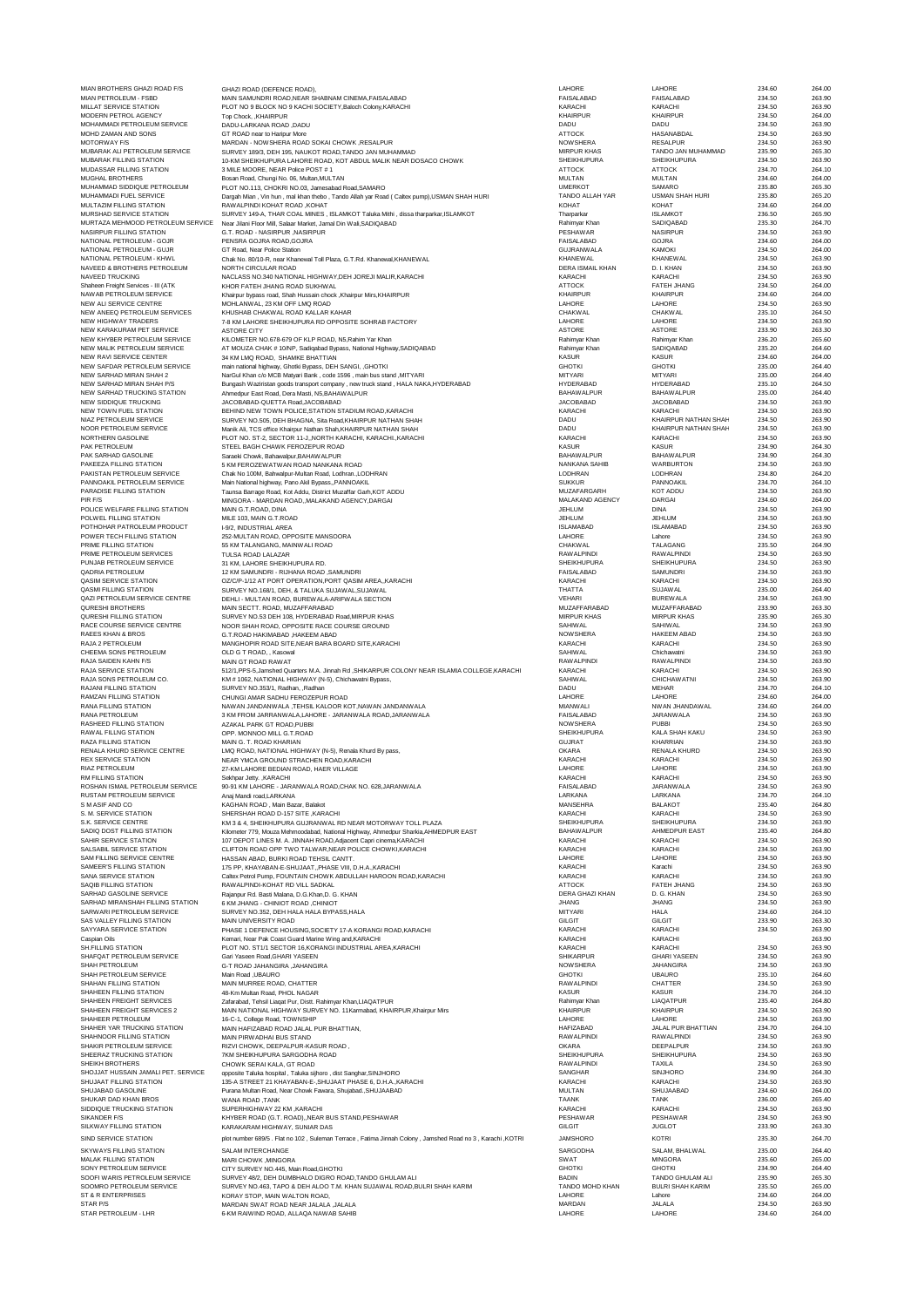|                                                               | GHAZI ROAD (DEFENCE ROAD),                                                                                                                               | LAHORE                                  | LAHORE                              | 234.60           | 264.00           |
|---------------------------------------------------------------|----------------------------------------------------------------------------------------------------------------------------------------------------------|-----------------------------------------|-------------------------------------|------------------|------------------|
| MIAN PETROLEUM - FSBD<br>MILLAT SERVICE STATION               | MAIN SAMUNDRI ROAD, NEAR SHABNAM CINEMA, FAISALABAD<br>PLOT NO 9 BLOCK NO 9 KACHI SOCIETY, Baloch Colony, KARACHI                                        | <b>FAISALABAD</b><br>KARACHI            | <b>FAISALABAD</b><br>KARACHI        | 234.50<br>234.50 | 263.90<br>263.90 |
| MODERN PETROL AGENCY                                          | Top Chock, .KHAIRPUR                                                                                                                                     | <b>KHAIRPUR</b>                         | <b>KHAIRPUR</b>                     | 234.50           | 264.00           |
| MOHAMMADI PETROLEUM SERVICE                                   | DADU-LARKANA ROAD, DADU                                                                                                                                  | DADU                                    | DADU                                | 234.50           | 263.90           |
| MOHD ZAMAN AND SONS<br>MOTORWAY F/S                           | GT ROAD near to Haripur More<br>MARDAN - NOWSHERA ROAD SOKAI CHOWK, RESALPUR                                                                             | <b>ATTOCK</b><br><b>NOWSHERA</b>        | HASANABDAL<br><b>RESALPUR</b>       | 234.50<br>234.50 | 263.90<br>263.90 |
| MUBARAK ALI PETROLEUM SERVICE                                 | SURVEY 189/3, DEH 195, NAUKOT ROAD, TANDO JAN MUHAMMAD                                                                                                   | <b>MIRPUR KHAS</b>                      | TANDO JAN MUHAMMAD                  | 235.90           | 265.30           |
| MUBARAK FILLING STATION                                       | 10-KM SHEIKHUPURA LAHORE ROAD, KOT ABDUL MALIK NEAR DOSACO CHOWK                                                                                         | <b>SHEIKHUPURA</b>                      | SHEIKHUPURA                         | 234.50           | 263.90           |
| MUDASSAR FILLING STATION                                      | 3 MILE MOORE, NEAR Police POST #1                                                                                                                        | <b>ATTOCK</b>                           | ATTOCK                              | 234.70           | 264.10           |
| MUGHAL BROTHERS<br>MUHAMMAD SIDDIQUE PETROLEUM                | Bosan Road, Chungi No. 06, Multan, MULTAN<br>PLOT NO.113, CHOKRI NO.03, Jamesabad Road, SAMARO                                                           | MULTAN<br><b>UMERKOT</b>                | MULTAN<br>SAMARO                    | 234.60<br>235.80 | 264.00<br>265.30 |
| MUHAMMADI FUEL SERVICE                                        | Dargah Mian, Vin hun, mal khan thebo, Tando Allah yar Road ( Caltex pump), USMAN SHAH HURI                                                               | TANDO ALLAH YAR                         | <b>USMAN SHAH HURI</b>              | 235.80           | 265.20           |
| MULTAZIM FILLING STATION                                      | RAW ALPINDI KOHAT ROAD, KOHAT                                                                                                                            | <b>KOHAT</b>                            | <b>KOHAT</b>                        | 234.60           | 264.00           |
| MURSHAD SERVICE STATION                                       | SURVEY 149-A, THAR COAL MINES, ISLAMKOT Taluka Mithi, dissa tharparkar, ISLAMKOT                                                                         | Tharparkar                              | <b>ISLAMKOT</b>                     | 236.50           | 265.90           |
| MURTAZA MEHMOOD PETROLEUM SERVICE<br>NASIRPUR FILLING STATION | Near Jilani Floor Mill, Salaar Market, Jamal Din Wali, SADIQABAD<br>G.T. ROAD - NASIRPUR , NASIRPUR                                                      | Rahimyar Khan<br>PESHAWAR               | SADIQABAD<br><b>NASIRPUR</b>        | 235.30<br>234.50 | 264.70<br>263.90 |
| NATIONAL PETROLEUM - GOJR                                     | PENSRA GOJRA ROAD, GOJRA                                                                                                                                 | <b>FAISALABAD</b>                       | GOJRA                               | 234.60           | 264.00           |
| NATIONAL PETROLEUM - GUJR                                     | GT Road, Near Police Station                                                                                                                             | GUJRANWALA                              | <b>KAMOKI</b>                       | 234.50           | 264.00           |
| NATIONAL PETROLEUM - KHWL                                     | Chak No. 80/10-R, near Khanewal Toll Plaza, G.T.Rd. Khanewal, KHANEW AL                                                                                  | <b>KHANEWAL</b>                         | <b>KHANEWAL</b>                     | 234.50           | 263.90           |
| NAVEED & BROTHERS PETROLEUM<br><b>NAVEED TRUCKING</b>         | NORTH CIRCUI AR ROAD<br>NACLASS NO.340 NATIONAL HIGHWAY, DEH JOREJI MALIR, KARACHI                                                                       | <b>DERA ISMAIL KHAN</b><br>KARACHI      | D. I. KHAN<br>KARACHI               | 234.50<br>234.50 | 263.90<br>263.90 |
| Shaheen Freight Services - III (ATK                           | KHOR FATEH JHANG ROAD SUKHWAL                                                                                                                            | <b>ATTOCK</b>                           | FATEH JHANG                         | 234.50           | 264.00           |
| NAWAB PETROLEUM SERVICE                                       | Khairpur bypass road, Shah Hussain chock, Khairpur Mirs, KHAIRPUR                                                                                        | <b>KHAIRPUR</b>                         | <b>KHAIRPUR</b>                     | 234.60           | 264.00           |
| NEW ALI SERVICE CENTRE                                        | MOHLANWAL, 23 KM OFF LMQ ROAD                                                                                                                            | LAHORE                                  | LAHORE                              | 234.50           | 263.90           |
| NEW ANEEQ PETROLEUM SERVICES<br><b>NEW HIGHWAY TRADERS</b>    | KHUSHAB CHAKWAL ROAD KALLAR KAHAR<br>7-8 KM LAHORE SHEIKHUPURA RD OPPOSITE SOHRAB FACTORY                                                                | <b>CHAKWAL</b><br>LAHORE                | CHAKWAL<br>LAHORE                   | 235.10<br>234.50 | 264.50<br>263.90 |
| NEW KARAKURAM PET SERVICE                                     | <b>ASTORE CITY</b>                                                                                                                                       | <b>ASTORE</b>                           | ASTORE                              | 233.90           | 263.30           |
| NEW KHYBER PETROLEUM SERVICE                                  | KILOMETER NO.678-679 OF KLP ROAD, N5, Rahim Yar Khan                                                                                                     | Rahimyar Khan                           | Rahimyar Khan                       | 236.20           | 265.60           |
| NEW MALIK PETROLEUM SERVICE                                   | AT MOUZA CHAK # 10/NP, Sadiqabad Bypass, National Highway, SADIQABAD                                                                                     | Rahimyar Khan                           | SADIQABAD                           | 235.20           | 264.60           |
| NEW RAVI SERVICE CENTER<br>NEW SAFDAR PETROLEUM SERVICE       | 34 KM LMQ ROAD, SHAMKE BHATTIAN<br>main national highway, Ghotki Bypass, DEH SANGI, , GHOTKI                                                             | <b>KASUR</b><br><b>GHOTKI</b>           | KASUR<br><b>GHOTKI</b>              | 234.60<br>235.00 | 264.00<br>264.40 |
| NEW SARHAD MIRAN SHAH 2                                       | NarGul Khan c/o MCB Matyari Bank, code 1596, main bus stand, MITYARI                                                                                     | <b>MITYARI</b>                          | <b>MITYARI</b>                      | 235.00           | 264.40           |
| NEW SARHAD MIRAN SHAH P/S                                     | Bungash Waziristan goods transport company, new truck stand, HALA NAKA, HYDERABAD                                                                        | <b>HYDERABAD</b>                        | <b>HYDERABAD</b>                    | 235.10           | 264.50           |
| NEW SARHAD TRUCKING STATION                                   | Ahmedpur East Road, Dera Masti, N5, BAHAW ALPUR                                                                                                          | <b>BAHAWALPUR</b>                       | <b>BAHAWALPUR</b>                   | 235.00           | 264.40           |
| <b>NEW SIDDIQUE TRUCKING</b><br>NEW TOWN FUEL STATION         | JACOBABAD-QUETTA Road, JACOBABAD<br>BEHIND NEW TOWN POLICE, STATION STADIUM ROAD, KARACHI                                                                | <b>JACOBABAD</b><br>KARACHI             | <b>JACOBABAD</b><br>KARACHI         | 234.50<br>234.50 | 263.90<br>263.90 |
| NIAZ PETROLEUM SERVICE                                        | SURVEY NO.505, DEH BHAGNA, Sita Road, KHAIRPUR NATHAN SHAH                                                                                               | DADU                                    | KHAIRPUR NATHAN SHAH                | 234.50           | 263.90           |
| NOOR PETROLEUM SERVICE                                        | Manik Ali, TCS office Khairpur Nathan Shah, KHAIRPUR NATHAN SHAH                                                                                         | DADU                                    | KHAIRPUR NATHAN SHAH                | 234.50           | 263.90           |
| NORTHERN GASOLINE<br>PAK PETROLEUM                            | PLOT NO. ST-2, SECTOR 11-J,, NORTH KARACHI, KARACHI., KARACHI                                                                                            | KARACHI                                 | KARACHI                             | 234.50           | 263.90           |
| PAK SARHAD GASOLINE                                           | STEEL BAGH CHAWK FEROZEPUR ROAD<br>Saraeki Chowk, Bahawalpur, BAHAW ALPUR                                                                                | <b>KASUR</b><br><b>BAHAWALPUR</b>       | <b>KASUR</b><br><b>BAHAWALPUR</b>   | 234.90<br>234.90 | 264.30<br>264.30 |
| PAKEEZA FILLING STATION                                       | 5 KM FEROZEWATWAN ROAD NANKANA ROAD                                                                                                                      | NANKANA SAHIB                           | WARBURTON                           | 234.50           | 263.90           |
| PAKISTAN PETROLEUM SERVICE                                    | Chak No 100M, Bahwalpur-Multan Road, Lodhran., LODHRAN                                                                                                   | LODHRAN                                 | LODHRAN                             | 234.80           | 264.20           |
| PANNOAKIL PETROLEUM SERVICE                                   | Main National highway, Pano Akil Bypass,, PANNOAKIL                                                                                                      | <b>SUKKUR</b>                           | PANNOAKIL                           | 234.70           | 264.10           |
| PARADISE FILLING STATION<br>PIR F/S                           | Taunsa Barrage Road, Kot Addu, District Muzaffar Garh, KOT ADDU<br>MINGORA - MARDAN ROAD,, MALAKAND AGENCY, DARGAI                                       | MUZAFARGARH<br>MALAKAND AGENCY          | <b>KOT ADDU</b><br>DARGAI           | 234.50<br>234.60 | 263.90<br>264.00 |
| POLICE WELFARE FILLING STATION                                | MAIN G.T.ROAD, DINA                                                                                                                                      | JEHLUM                                  | <b>DINA</b>                         | 234.50           | 263.90           |
| POLWEL FILLING STATION                                        | MILE 103, MAIN G.T.ROAD                                                                                                                                  | <b>JEHLUM</b>                           | JEHLUM                              | 234.50           | 263.90           |
| POTHOHAR PATROLEUM PRODUCT                                    | I-9/2, INDUSTRIAL AREA                                                                                                                                   | <b>ISLAMABAD</b>                        | <b>ISLAMABAD</b>                    | 234.50           | 263.90           |
| POWER TECH FILLING STATION<br>PRIME FILLING STATION           | 252-MULTAN ROAD, OPPOSITE MANSOORA                                                                                                                       | LAHORE<br><b>CHAKWAL</b>                | Lahore<br>TALAGANG                  | 234.50<br>235.50 | 263.90<br>264.90 |
| PRIME PETROLEUM SERVICES                                      | 55 KM TALANGANG, MAINWALI ROAD<br><b>TULSA ROAD LALAZAR</b>                                                                                              | <b>RAWALPINDI</b>                       | <b>RAWALPINDI</b>                   | 234.50           | 263.90           |
| PUNJAB PETROLEUM SERVICE                                      | 31 KM, LAHORE SHEIKHUPURA RD.                                                                                                                            | SHEIKHUPURA                             | SHEIKHUPURA                         | 234.50           | 263.90           |
| QADRIA PETROLEUM                                              | 12 KM SAMUNDRI - RIJHANA ROAD, SAMUNDRI                                                                                                                  | FAISALABAD                              | SAMUNDRI                            | 234.50           | 263.90           |
| QASIM SERVICE STATION<br><b>QASMI FILLING STATION</b>         | OZ/C/P-1/12 AT PORT OPERATION, PORT QASIM AREA,, KARACHI                                                                                                 | KARACHI<br>THATTA                       | KARACHI<br>SUJAWAL                  | 234.50<br>235.00 | 263.90<br>264.40 |
| QAZI PETROLEUM SERVICE CENTRE                                 | SURVEY NO.168/1, DEH, & TALUKA SUJAWAL, SUJAWAL<br>DEHLI - MULTAN ROAD, BUREWALA-ARIFWALA SECTION                                                        | <b>VEHARI</b>                           | <b>BUREWALA</b>                     | 234.50           | 263.90           |
| QURESHI BROTHERS                                              | MAIN SECTT. ROAD, MUZAFFARABAD                                                                                                                           | MUZAFFARABAD                            | MUZAFFARABAD                        | 233.90           | 263.30           |
| QURESHI FILLING STATION                                       | SURVEY NO.53 DEH 108, HYDERABAD Road, MIRPUR KHAS                                                                                                        | <b>MIRPUR KHAS</b>                      | <b>MIRPUR KHAS</b>                  | 235.90           | 265.30           |
| RACE COURSE SERVICE CENTRE                                    | NOOR SHAH ROAD, OPPOSITE RACE COURSE GROUND                                                                                                              | <b>SAHIWAL</b>                          | SAHIWAL                             | 234.50           | 263.90           |
| RAEES KHAN & BROS<br>RAJA 2 PETROLEUM                         | G.T.ROAD HAKIMABAD, HAKEEM ABAD<br>MANGHOPIR ROAD SITE, NEAR BARA BOARD SITE, KARACHI                                                                    | <b>NOW SHERA</b><br>KARACHI             | <b>HAKEEM ABAD</b><br>KARACH        | 234.50<br>234.50 | 263.90<br>263.90 |
| CHEEMA SONS PETROLEUM                                         | OLD G T ROAD, , Kasowal                                                                                                                                  | SAHIWAL                                 | Chichawatni                         | 234.50           | 263.90           |
| RAJA SAIDEN KAHN F/S                                          | MAIN GT ROAD RAWAT                                                                                                                                       | <b>RAWALPINDI</b>                       | <b>RAWALPINDI</b>                   | 234.50           | 263.90           |
| RAJA SERVICE STATION                                          | 512/1,PPS-5,Jamshed Quarters M.A. Jinnah Rd ,SHIKARPUR COLONY NEAR ISLAMIA COLLEGE,KARACHI                                                               | KARACHI                                 | KARACHI                             | 234.50           | 263.90           |
| RAJA SONS PETROLEUM CO.<br>RAJANI FILLING STATION             | KM # 1062, NATIONAL HIGHWAY (N-5), Chichawatni Bypass,<br>SURVEY NO.353/1, Radhan, ,Radhan                                                               | SAHIWAL<br>DADU                         | CHICHAWATNI<br>MEHAR                | 234.50<br>234.70 | 263.90<br>264.10 |
| RAMZAN FILLING STATION                                        | CHUNGI AMAR SADHU FEROZEPUR ROAD                                                                                                                         | LAHORE                                  | LAHORE                              | 234.60           | 264.00           |
| RANA FILLING STATION                                          | NAWAN JANDANWALA ,TEHSIL KALOOR KOT,NAWAN JANDANWALA                                                                                                     | <b>MIANWALI</b>                         | NWAN JHANDAWAL                      | 234.60           | 264.00           |
| RANA PETROLEUM                                                | 3 KM FROM JARRANWALA,LAHORE - JARANWALA ROAD,JARANWALA<br>AZAKAL PARK GT ROAD PUBBL                                                                      | <b>FAISALABAD</b>                       | JARANWAI A                          | 234.50           | 263.90           |
| RASHEED FILLING STATION                                       |                                                                                                                                                          | <b>NOW SHERA</b>                        | PUBBI                               |                  | 263.90           |
|                                                               |                                                                                                                                                          |                                         |                                     | 234.50           |                  |
| RAWAL FILLNG STATION<br>RAZA FILLING STATION                  | OPP. MONNOO MILL G.T.ROAD                                                                                                                                | SHEIKHUPURA<br>GUJRAT                   | KALA SHAH KAKU<br>KHARRIAN          | 234.50<br>234.50 | 263.90<br>263.90 |
| RENALA KHURD SERVICE CENTRE                                   | MAIN G. T. ROAD KHARIAN<br>LMQ ROAD, NATIONAL HIGHWAY (N-5), Renala Khurd By pass,                                                                       | <b>OKARA</b>                            | RENALA KHURD                        | 234.50           | 263.90           |
| REX SERVICE STATION                                           | NEAR YMCA GROUND STRACHEN ROAD, KARACHI                                                                                                                  | KARACHI                                 | KARACHI                             | 234.50           | 263.90           |
| RIAZ PETROLEUM                                                | 27-KM LAHORE BEDIAN ROAD, HAER VILLAGE                                                                                                                   | LAHORE                                  | LAHORE                              | 234.50           | 263.90           |
| RM FILLING STATION                                            | Sekhpar Jetty. , KARACHI                                                                                                                                 | KARACHI<br>FAISALABAD                   | KARACHI                             | 234.50<br>234.50 | 263.90           |
| ROSHAN ISMAIL PETROLEUM SERVICE<br>RUSTAM PETROLEUM SERVICE   | 90-91 KM LAHORE - JARANWALA ROAD, CHAK NO. 628, JARANWALA<br>Anaj Mandi road, LARKANA                                                                    | LARKANA                                 | JARANWALA<br>LARKANA                | 234.70           | 263.90<br>264.10 |
| S M ASIF AND CO                                               | KAGHAN ROAD, Main Bazar, Balakot                                                                                                                         | MANSEHRA                                | <b>BALAKOT</b>                      | 235.40           | 264.80           |
| S. M. SERVICE STATION                                         | SHERSHAH ROAD D-157 SITE, KARACHI                                                                                                                        | KARACHI                                 | KARACHI                             | 234.50           | 263.90           |
| S.K. SERVICE CENTRE<br>SADIO DOST FILLING STATION             | KM 3 & 4, SHEIKHUPURA GUJRANWAL RD NEAR MOTORWAY TOLL PLAZA                                                                                              | <b>SHEIKHUPURA</b><br><b>BAHAWALPUR</b> | SHEIKHUPURA<br>AHMEDPUR EAST        | 234.50<br>235.40 | 263.90<br>264.80 |
| SAHIR SERVICE STATION                                         | Kilometer 779, Mouza Mehmoodabad, National Highway, Ahmedpur Sharkia, AHMEDPUR EAST<br>107 DEPOT LINES M. A. JINNAH ROAD, Adjacent Capri cinema, KARACHI | KARACHI                                 | KARACHI                             | 234.50           | 263.90           |
| SALSABIL SERVICE STATION                                      | CLIFTON ROAD OPP TWO TALWAR, NEAR POLICE CHOWKI, KARACHI                                                                                                 | KARACHI                                 | KARACHI                             | 234.50           | 263.90           |
| SAM FILLING SERVICE CENTRE                                    | HASSAN ABAD, BURKI ROAD TEHSIL CANTT.                                                                                                                    | LAHORE                                  | LAHORE                              | 234.50           | 263.90           |
| SAMEER'S FILLING STATION<br><b>SANA SERVICE STATION</b>       | 175 PP, KHAYABAN-E-SHUJAAT, PHASE VIII, D.H.A., KARACHI<br>Caltex Petrol Pump, FOUNTAIN CHOWK ABDULLAH HAROON ROAD, KARACHI                              | KARACHI<br>KARACHI                      | Karachi<br><b>KARACHI</b>           | 234.50<br>234.50 | 263.90<br>263.90 |
| SAOIB FILLING STATION                                         | RAWALPINDI-KOHAT RD VILL SADKAL                                                                                                                          | <b>ATTOCK</b>                           | <b>FATEH JHANG</b>                  | 234.50           | 263.90           |
| SARHAD GASOLINE SERVICE                                       | Rajanpur Rd. Basti Malana, D.G.Khan, D. G. KHAN                                                                                                          | <b>DERA GHAZI KHAN</b>                  | D. G. KHAN                          | 234.50           | 263.90           |
| SARHAD MIRANSHAH FILLING STATION                              | 6 KM JHANG - CHINIOT ROAD .CHINIOT                                                                                                                       | <b>JHANG</b>                            | <b>JHANG</b>                        | 234.50           | 263.90           |
| SARWARI PETROLEUM SERVICE<br>SAS VALLEY FILLING STATION       | SURVEY NO.352, DEH HALA HALA BYPASS, HALA<br>MAIN UNIVERSITY ROAD                                                                                        | MITYARI<br>GILGIT                       | HALA<br><b>GILGIT</b>               | 234.60<br>233.90 | 264.10<br>263.30 |
| SAYYARA SERVICE STATION                                       | PHASE 1 DEFENCE HOUSING, SOCIETY 17-A KORANGI ROAD, KARACHI                                                                                              | KARACHI                                 | KARACH                              | 234.50           | 263.90           |
| Caspian Oils                                                  | Kemari, Near Pak Coast Guard Marine Wing and, KARACHI                                                                                                    | KARACHI                                 | KARACHI                             |                  | 263.90           |
| SH FILLING STATION                                            | PLOT NO. ST1/1 SECTOR 16, KORANGI INDUSTRIAL AREA, KARACHI                                                                                               | KARACHI                                 | KARACHI                             | 234.50           | 263.90           |
| SHAFQAT PETROLEUM SERVICE<br>SHAH PETROLEUM                   | Gari Yaseen Road.GHARI YASEEN<br>G-T ROAD JAHANGIRA ,JAHANGIRA                                                                                           | SHIKARPUR<br><b>NOW SHERA</b>           | <b>GHARI YASEEN</b><br>JAHANGIRA    | 234.50<br>234.50 | 263.90<br>263.90 |
| SHAH PETROLEUM SERVICE                                        | Main Road , UBAURO                                                                                                                                       | <b>GHOTKI</b>                           | <b>UBAURO</b>                       | 235.10           | 264.60           |
| SHAHAN FILLING STATION                                        | MAIN MURREE ROAD, CHATTER                                                                                                                                | <b>RAWALPINDI</b>                       | CHATTER                             | 234.50           | 263.90           |
| SHAHEEN FILLING STATION                                       | 48-Km Multan Road, PHOL NAGAR                                                                                                                            | <b>KASUR</b>                            | <b>KASUR</b>                        | 234.70           | 264.10           |
| SHAHEEN FREIGHT SERVICES<br>SHAHEEN FREIGHT SERVICES 2        | Zafarabad, Tehsil Liagat Pur, Distt. Rahimyar Khan,LIAQATPUR<br>MAIN NATIONAL HIGHWAY SURVEY NO. 11Karmabad, KHAIRPUR, Khairpur Mirs                     | Rahimyar Khan<br><b>KHAIRPUR</b>        | <b>LIAQATPUR</b><br><b>KHAIRPUR</b> | 235.40<br>234.50 | 264.80<br>263.90 |
| SHAHEER PETROLEUM                                             | 16-C-1, College Road, TOWNSHIP                                                                                                                           | LAHORE                                  | LAHORE                              | 234.50           | 263.90           |
| SHAHER YAR TRUCKING STATION                                   | MAIN HAFIZABAD ROAD JALAL PUR BHATTIAN,                                                                                                                  | <b>HAFIZABAD</b>                        | JALAL PUR BHATTIAN                  | 234.70           | 264.10           |
| SHAHNOOR FILLING STATION                                      | MAIN PIRWADHAI BUS STAND                                                                                                                                 | <b>RAWALPINDI</b>                       | <b>RAWALPINDI</b>                   | 234.50           | 263.90           |
| SHAKIR PETROLEUM SERVICE<br>SHEERAZ TRUCKING STATION          | RIZVI CHOWK, DEEPALPUR-KASUR ROAD,<br>7KM SHEIKHUPURA SARGODHA ROAD                                                                                      | OKARA<br><b>SHEIKHUPURA</b>             | DEEPALPUR<br>SHEIKHUPURA            | 234.50<br>234.50 | 263.90<br>263.90 |
| SHEIKH BROTHERS                                               | CHOWK SERAI KALA, GT ROAD                                                                                                                                | <b>RAWALPINDI</b>                       | <b>TAXILA</b>                       | 234.50           | 263.90           |
| SHOJJAT HUSSAIN JAMALI PET. SERVICE                           | opposite Taluka hospital, Taluka sijhoro, dist Sanghar, SINJHORO                                                                                         | SANGHAR                                 | <b>SINJHORO</b>                     | 234.90           | 264.30           |
| SHUJAAT FILLING STATION                                       | 135-A STREET 21 KHAYABAN-E-, SHUJAAT PHASE 6, D.H.A., KARACHI                                                                                            | KARACHI                                 | KARACHI                             | 234.50           | 263.90           |
| SHUJABAD GASOLINE<br>SHUKAR DAD KHAN BROS                     | Purana Multan Road, Near Chowk Fawara, Shujabad., SHUJAABAD                                                                                              | MULTAN<br><b>TAANK</b>                  | SHUJAABAD<br><b>TANK</b>            | 234.60<br>236.00 | 264.00<br>265.40 |
| SIDDIQUE TRUCKING STATION                                     | WANA ROAD, TANK<br>SUPERHIGHWAY 22 KM, KARACHI                                                                                                           | KARACHI                                 | KARACHI                             | 234.50           | 263.90           |
| SIKANDER F/S                                                  | KHYBER ROAD (G.T. ROAD), NEAR BUS STAND, PESHAWAR                                                                                                        | PESHAWAR                                | PESHAWAR                            | 234.50           | 263.90           |
| SILKWAY FILLING STATION                                       | KARAKARAM HIGHWAY, SUNIAR DAS                                                                                                                            | GILGIT                                  | <b>JUGLOT</b>                       | 233.90           | 263.30           |
| SIND SERVICE STATION                                          | plot number 689/5 . Flat no 102, Suleman Terrace, Fatima Jinnah Colony, Jamshed Road no 3, Karachi ,KOTRI                                                | <b>JAMSHORO</b>                         | <b>KOTRI</b>                        | 235.30           | 264.70           |
| <b>SKYWAYS FILLING STATION</b>                                | <b>SALAM INTERCHANGE</b>                                                                                                                                 | SARGODHA                                | SALAM, BHALWAL                      | 235.00           | 264.40           |
| <b>MALAK FILLING STATION</b>                                  | <b>MARI CHOWK MINGORA</b>                                                                                                                                | SWAT<br><b>GHOTKI</b>                   | MINGORA<br><b>GHOTKI</b>            | 235.60<br>234.90 | 265.00<br>264.40 |
| SONY PETROLEUM SERVICE<br>SOOFI WARIS PETROLEUM SERVICE       | CITY SURVEY NO.445, Main Road, GHOTKI<br>SURVEY 48/2, DEH DUMBHALO DIGRO ROAD, TANDO GHULAM ALI                                                          | <b>BADIN</b>                            | TANDO GHULAM ALI                    | 235.90           | 265.30           |
| SOOMRO PETROLEUM SERVICE                                      | SURVEY NO.463, TAPO & DEH ALOO T.M. KHAN SUJAWAL ROAD, BULRI SHAH KARIM                                                                                  | TANDO MOHD KHAN                         | <b>BULRI SHAH KARIM</b>             | 235.50           | 265.00           |
| ST & R ENTERPRISES                                            | KORAY STOP, MAIN WALTON ROAD,                                                                                                                            | LAHORE                                  | Lahore                              | 234.60           | 264.00           |
| <b>STAR P/S</b><br>STAR PETROLEUM - LHR                       | MARDAN SWAT ROAD NEAR JALALA ,JALALA<br>6-KM RAIWIND ROAD, ALLAQA NAWAB SAHIB                                                                            | MARDAN<br>LAHORE                        | JALALA<br>LAHORE                    | 234.50<br>234.60 | 263.90<br>264.00 |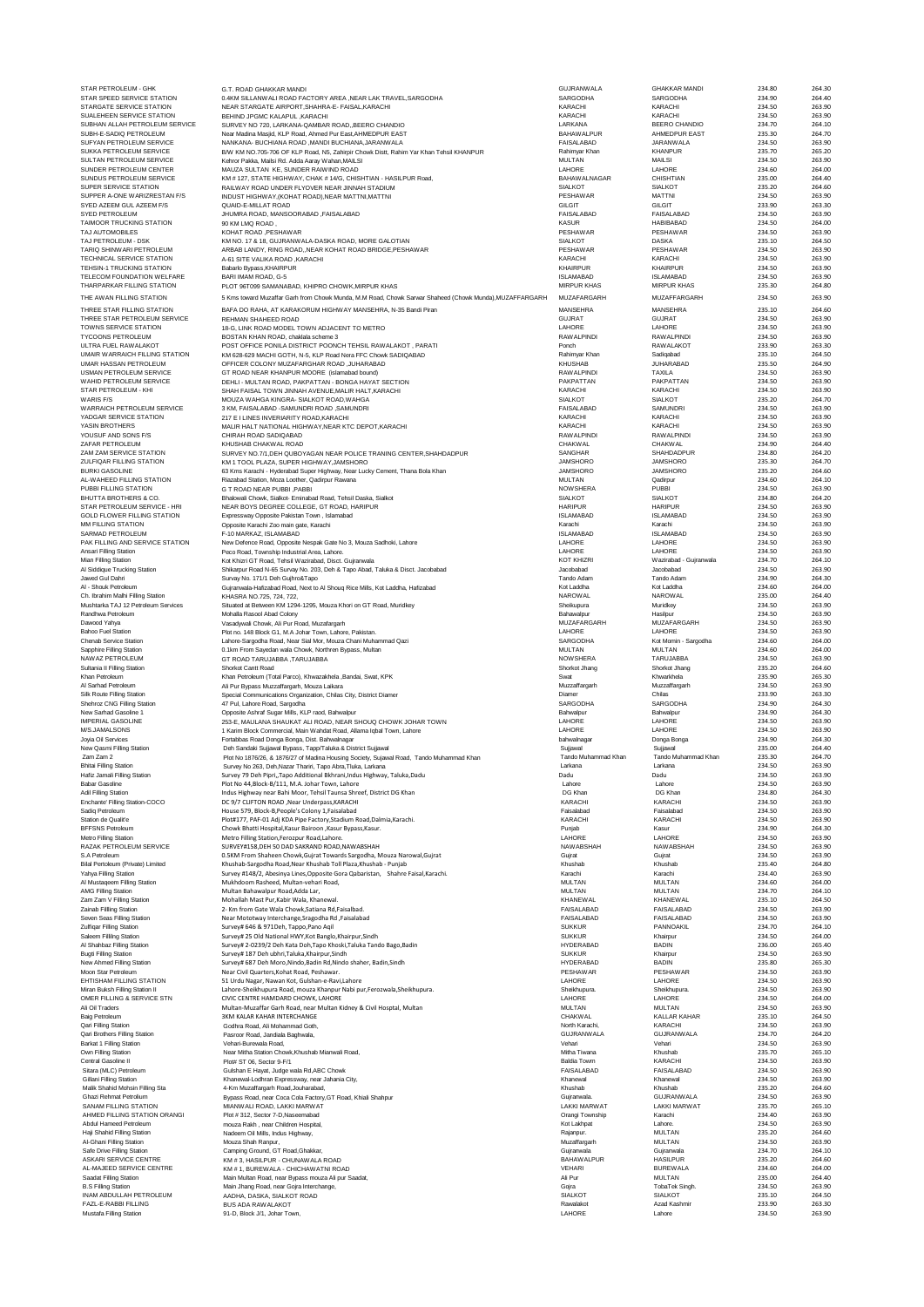| STAR PETROLEUM - GHK                                         | G.T. ROAD GHAKKAR MANDI                                                                                                         | <b>GUJRANWALA</b>                  | <b>GHAKKAR MANDI</b>                | 234.80           | 264.30           |
|--------------------------------------------------------------|---------------------------------------------------------------------------------------------------------------------------------|------------------------------------|-------------------------------------|------------------|------------------|
| STAR SPEED SERVICE STATION                                   | 0.4KM SILLANWALI ROAD FACTORY AREA ,NEAR LAK TRAVEL,SARGODHA                                                                    | SARGODHA                           | SARGODHA                            | 234.90           | 264.40           |
| <b>STARGATE SERVICE STATION</b><br>SUALEHEEN SERVICE STATION | NEAR STARGATE AIRPORT, SHAHRA-E- FAISAL, KARACHI                                                                                | KARACHI<br>KARACHI                 | KARACHI<br>KARACHI                  | 234.50<br>234.50 | 263.90<br>263.90 |
| SUBHAN ALLAH PETROLEUM SERVICE                               | BEHIND JPGMC KALAPUL , KARACHI<br>SURVEY NO 720, LARKANA-QAMBAR ROAD, BEERO CHANDIO                                             | LARKANA                            | <b>BEERO CHANDIO</b>                | 234.70           | 264.10           |
| SUBH-E-SADIQ PETROLEUM                                       | Near Madina Masjid, KLP Road, Ahmed Pur East, AHMEDPUR EAST                                                                     | <b>BAHAWALPUR</b>                  | <b>AHMEDPUR EAST</b>                | 235.30           | 264.70           |
| SUFYAN PETROLEUM SERVICE                                     | NANKANA- BUCHIANA ROAD ,MANDI BUCHIANA,JARANWALA                                                                                | <b>FAISAI ABAD</b>                 | <b>JARANWALA</b>                    | 234.50           | 263.90           |
| SUKKA PETROLEUM SERVICE                                      | B/W KM NO.705-706 OF KLP Road, N5, Zahirpir Chowk Distt, Rahim Yar Khan Tehsil KHANPUR                                          | Rahimyar Khan                      | <b>KHANPUR</b>                      | 235.70           | 265.20           |
| SULTAN PETROLEUM SERVICE                                     | Kehror Pakka, Mailsi Rd. Adda Aaray Wahan, MAILSI                                                                               | <b>MULTAN</b>                      | MAILSI                              | 234.50           | 263.90           |
| SUNDER PETROLEUM CENTER<br>SUNDUS PETROLEUM SERVICE          | MAUZA SULTAN KE, SUNDER RAIWIND ROAD                                                                                            | LAHORE<br><b>BAHAWALNAGAR</b>      | LAHORE<br>CHISHTIAN                 | 234.60<br>235.00 | 264.00<br>264.40 |
| SUPER SERVICE STATION                                        | KM # 127, STATE HIGHWAY, CHAK # 14/G, CHISHTIAN - HASILPUR Road,<br>RAILWAY ROAD UNDER FLYOVER NEAR JINNAH STADIUM              | <b>SIALKOT</b>                     | <b>SIALKOT</b>                      | 235.20           | 264.60           |
| SUPPER A-ONE WARIZRESTAN F/S                                 | INDUST HIGHWAY, (KOHAT ROAD), NEAR MATTNI, MATTNI                                                                               | PESHAWAR                           | <b>MATTNI</b>                       | 234.50           | 263.90           |
| SYED AZEEM GUL AZEEM F/S                                     | QUAID-E-MILLAT ROAD                                                                                                             | GILGIT                             | GILGIT                              | 233.90           | 263.30           |
| <b>SYED PETROLEUM</b>                                        | JHUMRA ROAD, MANSOORABAD , FAISALABAD                                                                                           | <b>FAISALABAD</b>                  | <b>FAISALABAD</b>                   | 234.50           | 263.90           |
| TAIMOOR TRUCKING STATION                                     | 90 KM LMQ ROAD.                                                                                                                 | KASUR                              | <b>HABIBABAD</b>                    | 234.50           | 264.00           |
| TAJ AUTOMOBILES                                              | KOHAT ROAD , PESHAWAR                                                                                                           | PESHAWAR                           | PESHAWAR                            | 234.50           | 263.90           |
| TAJ PETROLEUM - DSK                                          | KM NO. 17 & 18, GUJRANWALA-DASKA ROAD, MORE GALOTIAN                                                                            | <b>SIALKOT</b>                     | <b>DASKA</b>                        | 235.10           | 264.50           |
| TARIQ SHINWARI PETROLEUM<br><b>TECHNICAL SERVICE STATION</b> | ARBAB LANDY, RING ROAD, NEAR KOHAT ROAD BRIDGE, PESHAWAR                                                                        | PESHAWAR<br>KARACHI                | PESHAWAR<br>KARACHI                 | 234.50<br>234.50 | 263.90<br>263.90 |
| TEHSIN-1 TRUCKING STATION                                    | A-61 SITE VALIKA ROAD ,KARACHI<br>Babarlo Bypass, KHAIRPUR                                                                      | <b>KHAIRPUR</b>                    | KHAIRPUR                            | 234.50           | 263.90           |
| TELECOM FOUNDATION WELFARE                                   | BARI IMAM ROAD, G-5                                                                                                             | <b>ISLAMABAD</b>                   | <b>ISLAMABAD</b>                    | 234.50           | 263.90           |
| THARPARKAR FILLING STATION                                   | PLOT 96T099 SAMANABAD, KHIPRO CHOWK, MIRPUR KHAS                                                                                | MIRPUR KHAS                        | <b>MIRPUR KHAS</b>                  | 235.30           | 264.80           |
| THE AWAN FILLING STATION                                     | 5 Kms toward Muzaffar Garh from Chowk Munda, M.M Road, Chowk Sarwar Shaheed (Chowk Munda), MUZAFFARGARH                         | MUZAFARGARH                        | MUZAFFARGARH                        | 234.50           | 263.90           |
| THREE STAR FILLING STATION                                   |                                                                                                                                 |                                    | MANSEHRA                            |                  |                  |
| THREE STAR PETROLEUM SERVICE                                 | BAFA DO RAHA, AT KARAKORUM HIGHWAY MANSEHRA, N-35 Bandi Piran<br>REHMAN SHAHEED ROAD                                            | MANSEHRA<br><b>GUJRAT</b>          | <b>GUJRAT</b>                       | 235.10<br>234.50 | 264.60<br>263.90 |
| TOWNS SERVICE STATION                                        | 18-G, LINK ROAD MODEL TOWN ADJACENT TO METRO                                                                                    | LAHORE                             | LAHORE                              | 234.50           | 263.90           |
| TYCOONS PETROLEUM                                            | BOSTAN KHAN ROAD, chaklala scheme 3                                                                                             | <b>RAWALPINDI</b>                  | <b>RAWALPINDI</b>                   | 234.50           | 263.90           |
| ULTRA FUEL RAWALAKOT                                         | POST OFFICE PONILA DISTRICT POONCH TEHSIL RAWALAKOT, PARATI                                                                     | Ponch                              | <b>RAWALAKOT</b>                    | 233.90           | 263.30           |
| UMAIR WARRAICH FILLING STATION                               | KM 628-629 MACHI GOTH, N-5, KLP Road Nera FFC Chowk SADIQABAD                                                                   | Rahimvar Khan                      | Sadigabad                           | 235.10           | 264.50           |
| UMAR HASSAN PETROLEUM                                        | OFFICER COLONY MUZAFARGHAR ROAD ,JUHARABAD                                                                                      | <b>KHUSHAB</b>                     | <b>JUHARABAD</b>                    | 235.50           | 264.90           |
| USMAN PETROLEUM SERVICE                                      | GT ROAD NEAR KHANPUR MOORE (islamabad bound)                                                                                    | <b>RAWALPINDI</b>                  | TAXILA                              | 234.50           | 263.90           |
| WAHID PETROLEUM SERVICE<br>STAR PETROLEUM - KHI              | DEHLI - MULTAN ROAD, PAKPATTAN - BONGA HAYAT SECTION<br>SHAH FAISAL TOWN JINNAH AVENUE, MALIR HALT, KARACHI                     | PAKPATTAN<br>KARACHI               | PAKPATTAN<br>KARACHI                | 234.50<br>234.50 | 263.90<br>263.90 |
| <b>WARIS F/S</b>                                             | MOUZA WAHGA KINGRA- SIALKOT ROAD, WAHGA                                                                                         | <b>SIALKOT</b>                     | <b>SIALKOT</b>                      | 235.20           | 264.70           |
| WARRAICH PETROLEUM SERVICE                                   | 3 KM, FAISALABAD -SAMUNDRI ROAD .SAMUNDRI                                                                                       | <b>FAISALABAD</b>                  | SAMUNDRI                            | 234.50           | 263.90           |
| YADGAR SERVICE STATION                                       | 217 E I LINES INVERIARITY ROAD.KARACHI                                                                                          | KARACHI                            | KARACHI                             | 234.50           | 263.90           |
| YASIN BROTHERS                                               | MALIR HALT NATIONAL HIGHWAY.NEAR KTC DEPOT.KARACHI                                                                              | KARACHI                            | KARACHI                             | 234.50           | 263.90           |
| YOUSUE AND SONS F/S                                          | CHIRAH ROAD SADIQABAD                                                                                                           | <b>RAWALPINDI</b>                  | <b>RAWALPINDI</b>                   | 234.50           | 263.90           |
| ZAFAR PETROLEUM                                              | KHUSHAB CHAKWAI ROAD                                                                                                            | <b>CHAKWAL</b>                     | <b>CHAKWAL</b>                      | 234.90           | 264.40           |
| ZAM ZAM SERVICE STATION                                      | SURVEY NO.7/1, DEH QUBOYAGAN NEAR POLICE TRANING CENTER, SHAHDADPUR                                                             | SANGHAR                            | SHAHDADPUR                          | 234.80           | 264.20           |
| ZULFIQAR FILLING STATION<br><b>BURKI GASOLINE</b>            | KM 1 TOOL PLAZA, SUPER HIGHWAY, JAMSHORO                                                                                        | <b>JAMSHORO</b><br><b>JAMSHORO</b> | JAMSHORO<br><b>JAMSHORO</b>         | 235.30<br>235.20 | 264.70<br>264.60 |
| AL-WAHEED FILLING STATION                                    | 63 Kms Karachi - Hyderabad Super Highway, Near Lucky Cement, Thana Bola Khan<br>Riazabad Station, Moza Loother, Qadirour Rawana | MULTAN                             | Qadirpur                            | 234.60           | 264.10           |
| PUBBLEILLING STATION                                         | <b>G T ROAD NEAR PUBBI PABBI</b>                                                                                                | <b>NOW SHERA</b>                   | <b>PUBBI</b>                        | 234.50           | 263.90           |
| BHUTTA BROTHERS & CO.                                        | Bhalowali Chowk, Sialkot- Eminabad Road, Tehsil Daska, Sialkot                                                                  | <b>SIALKOT</b>                     | <b>SIALKOT</b>                      | 234.80           | 264.20           |
| STAR PETROLEUM SERVICE - HRI                                 | NEAR BOYS DEGREE COLLEGE, GT ROAD, HARIPUR                                                                                      | <b>HARIPUR</b>                     | <b>HARIPUR</b>                      | 234.50           | 263.90           |
| <b>GOLD FLOWER FILLING STATION</b>                           | Expressway Opposite Pakistan Town, Islamabad                                                                                    | <b>ISLAMABAD</b>                   | <b>ISLAMABAD</b>                    | 234.50           | 263.90           |
| MM FILLING STATION                                           | Opposite Karachi Zoo main gate, Karachi                                                                                         | Karachi                            | Karachi                             | 234.50           | 263.90           |
| SARMAD PETROLEUM                                             | F-10 MARKAZ, ISLAMABAD                                                                                                          | <b>ISLAMABAD</b>                   | <b>ISLAMABAD</b>                    | 234.50           | 263.90           |
| PAK FILLING AND SERVICE STATION                              | New Defence Road, Opposite Nespak Gate No 3, Mouza Sadhoki, Lahore                                                              | LAHORE                             | LAHORE                              | 234.50           | 263.90<br>263.90 |
| Ansari Filling Station<br>Mian Filling Station               | Peco Road, Township Industrial Area, Lahore.<br>Kot Khizri GT Road, Tehsil Wazirabad, Disct. Gujranwala                         | LAHORE<br><b>KOT KHIZRI</b>        | LAHORE<br>Wazirabad - Gujranwala    | 234.50<br>234.70 | 264.10           |
| Al Siddique Trucking Station                                 | Shikarpur Road N-65 Survay No. 203, Deh & Tapo Abad, Taluka & Disct. Jacobabad                                                  | Jacobabad                          | Jacobabad                           | 234.50           | 263.90           |
| Jawed Gul Dahri                                              | Survay No. 171/1 Deh Gujhro&Tapo                                                                                                | Tando Adam                         | Tando Adam                          | 234.90           | 264.30           |
| Al - Shouk Petroleum                                         | Gujranwala-Hafizabad Road, Next to Al Shouq Rice Mills, Kot Laddha, Hafizabad                                                   | Kot Laddha                         | Kot Laddha                          | 234.60           | 264.00           |
| Ch. Ibrahim Malhi Filling Station                            | KHASRA NO.725, 724, 722.                                                                                                        | <b>NAROWAL</b>                     | <b>NAROWAL</b>                      | 235.00           | 264.40           |
| Mushtarka TAJ 12 Petroleum Services                          | Situated at Between KM 1294-1295, Mouza Khori on GT Road, Muridkey                                                              | Sheikupura                         | Muridkey                            | 234.50           | 263.90           |
| Randhwa Petroleum                                            | Mohalla Rasool Abad Colony                                                                                                      | Bahawalpur                         | Hasilpur                            | 234.50           | 263.90           |
| Dawood Yahya                                                 | Vasadywali Chowk, Ali Pur Road, Muzafargarh                                                                                     | MUZAFARGARH                        | MUZAFARGARH                         | 234.50           | 263.90           |
| <b>Bahoo Fuel Station</b><br>Chenab Service Station          | Plot no. 148 Block G1, M.A Johar Town, Lahore, Pakistan.<br>Lahore-Sargodha Road, Near Sial Mor, Mouza Chani Muhammad Qazi      | LAHORE<br>SARGODHA                 | LAHORE<br>Kot Momin - Sargodha      | 234.50<br>234.60 | 263.90<br>264.00 |
|                                                              |                                                                                                                                 |                                    |                                     |                  |                  |
|                                                              |                                                                                                                                 | <b>MULTAN</b>                      | MULTAN                              | 234.60           | 264.00           |
| Sapphire Filling Station<br>NAWAZ PETROLEUM                  | 0.1km From Sayedan wala Chowk, Northren Bypass, Multan                                                                          | <b>NOW SHERA</b>                   | TARUJABBA                           | 234.50           | 263.90           |
| Sultania II Filling Station                                  | GT ROAD TARUJABBA, TARUJABBA<br>Shorkot Cantt Road                                                                              | Shorkot Jhang                      | Shorkot Jhang                       | 235.20           | 264.60           |
| Khan Petroleum                                               | Khan Petroleum (Total Parco), Khwazakhela ,Bandai, Swat, KPK                                                                    | Swat                               | Khwarkhela                          | 235.90           | 265.30           |
| Al Sarhad Petroleum                                          | Ali Pur Bypass Muzzaffargarh, Mouza Laikara                                                                                     | Muzzaffargarh                      | Muzzaffargarh                       | 234.50           | 263.90           |
| Silk Route Filling Station                                   | Special Communications Organization, Chilas City, District Diamer                                                               | Diamer                             | Chilas                              | 233.90           | 263.30           |
| Shehroz CNG Filling Station                                  | 47 Pul. Lahore Road, Sargodha                                                                                                   | SARGODHA                           | SARGODHA                            | 234.90           | 264.30           |
| New Sarhad Gasoline 1                                        | Opposite Ashraf Sugar Mills, KLP raod, Bahwalpur                                                                                | Bahwalpur                          | Bahwalpur                           | 234.90           | 264.30           |
| IMPERIAL GASOLINE                                            | 253-E, MAULANA SHAUKAT ALI ROAD, NEAR SHOUQ CHOWK JOHAR TOWN                                                                    | LAHORE                             | LAHORE                              | 234.50           | 263.90           |
| M/S.JAMALSONS                                                | 1 Karim Block Commercial, Main Wahdat Road, Allama Iqbal Town, Lahore                                                           | LAHORE<br>bahwalnagar              | LAHORE                              | 234.50<br>234.90 | 263.90<br>264.30 |
| Joyia Oil Services<br>New Qasmi Filling Station              | Fortabbas Road Donga Bonga, Dist. Bahwalnagar<br>Deh Sandaki Sujjawal Bypass, Tapp/Taluka & District Sujjawal                   | Suijawal                           | Donga Bonga<br>Sujjawal             | 235.00           | 264.40           |
| Zam Zam 2                                                    | Plot No 1876/26, & 1876/27 of Madina Housing Society, Sujawal Road, Tando Muhammad Khan                                         | Tando Muhammad Khan                | Tando Muhammad Khan                 | 235.30           | 264.70           |
| <b>Bhitai Filling Station</b>                                | Survey No 263, Deh, Nazar Thariri, Tapo Abra, Tluka, Larkana                                                                    | Larkana                            | Larkana                             | 234.50           | 263.90           |
| Hafiz Jamali Filling Station                                 | Survey 79 Deh Pipri,, Tapo Additional Bkhrani, Indus Highway, Taluka, Dadu                                                      | Dadu                               | Dadu                                | 234.50           | 263.90           |
| Babar Gas                                                    | Plot No 44,Block-B/111, M.A. Johar Town, Lahore                                                                                 |                                    |                                     | 234.50           | 263.90           |
| Adil Filling Station                                         | Indus Highway near Bahi Moor, Tehsil Taunsa Shreef, District DG Khan                                                            | DG Khan                            | DG Khan                             | 234.80           | 264.30           |
| Enchante' Filling Station-COCO<br>Sadio Petroleum            | DC 9/7 CLIFTON ROAD , Near Underpass, KARACHI<br>House 579, Block-B, People's Colony 1, Faisalabad                              | <b>KARACHI</b><br>Faisalabad       | <b>KARACHI</b><br>Faisalabad        | 234.50<br>234.50 | 263.90<br>263.90 |
| Station de Qualit'e                                          | Plot#177, PAF-01 Adj KDA Pipe Factory, Stadium Road, Dalmia, Karachi.                                                           | KARACHI                            | KARACHI                             | 234.50           | 263.90           |
| <b>BFFSNS Petroleum</b>                                      | Chowk Bhatti Hospital, Kasur Bairoon, Kasur Bypass, Kasur.                                                                      | Punjab                             | Kasur                               | 234.90           | 264.30           |
| Metro Filling Station                                        | Metro Filling Station, Ferozpur Road, Lahore.                                                                                   | LAHORE                             | LAHORE                              | 234.50           | 263.90           |
| RAZAK PETROLEUM SERVICE                                      | SURVEY#158, DEH 50 DAD SAKRAND ROAD, NAWABSHAH                                                                                  | <b>NAWABSHAH</b>                   | <b>NAWABSHAH</b>                    | 234.50           | 263.90           |
| S.A Petroleum                                                | 0.5KM From Shaheen Chowk, Gujrat Towards Sargodha, Mouza Narowal, Gujrat                                                        | Gujrat                             | Gujrat                              | 234.50           | 263.90           |
| Bilal Pertoleum (Private) Limited                            | Khushab-Sargodha Road, Near Khushab Toll Plaza, Khushab - Puniab                                                                | Khushab<br>Karachi                 | Khushab<br>Karachi                  | 235.40           | 264.80           |
| Yahya Filling Station<br>Al Mustaqeem Filling Station        | Survey #148/2, Abesinya Lines, Opposite Gora Qabaristan, Shahre Faisal, Karachi.<br>Mukhdoom Rasheed, Multan-vehari Road,       | <b>MULTAN</b>                      | <b>MULTAN</b>                       | 234.40<br>234.60 | 263.90<br>264.00 |
| <b>AMG Filling Station</b>                                   | Multan Bahawalpur Road, Adda Lar,                                                                                               | MULTAN                             | <b>MULTAN</b>                       | 234.70           | 264.10           |
| Zam Zam V Filling Station                                    | Mohallah Mast Pur.Kabir Wala, Khanewal                                                                                          | <b>KHANEWAL</b>                    | KHANEWAL                            | 235.10           | 264.50           |
| Zainab Fillling Station                                      | 2- Km from Gate Wala Chowk, Satiana Rd, Faisalbad.                                                                              | <b>FAISAI ABAD</b>                 | <b>FAISALABAD</b>                   | 234.50           | 263.90           |
| Seven Seas Filling Station                                   | Near Mototway Interchange, Sragodha Rd, Faisalabad                                                                              | FAISALABAD                         | <b>FAISALABAD</b>                   | 234.50           | 263.90           |
| Zulfigar Filling Station                                     | Survey# 646 & 971Deh, Tappo, Pano Agil                                                                                          | <b>SUKKUR</b>                      | PANNOAKIL                           | 234.70           | 264.10           |
| Saleem Fillilng Station                                      | Survey# 25 Old National HWY, Kot Banglo, Khairpur, Sindh                                                                        | <b>SUKKUR</b>                      | Khairpur                            | 234.50           | 264.00           |
| Al Shahbaz Filling Station                                   | Survey# 2-0239/2 Deh Kata Doh, Tapo Khoski, Taluka Tando Bago, Badin                                                            | <b>HYDERABAD</b>                   | <b>BADIN</b>                        | 236.00           | 265.40           |
| <b>Bugti Filling Station</b><br>New Ahmed Filling Station    | Survey# 187 Deh ubhri, Taluka, Khairpur, Sindh                                                                                  | <b>SUKKUR</b><br><b>HYDERABAD</b>  | Khairpur<br><b>BADIN</b>            | 234.50<br>235.80 | 263.90<br>265.30 |
| Moon Star Petroleum                                          | Survey# 687 Deh Moro, Nindo, Badin Rd, Nindo shaher, Badin, Sindh<br>Near Civil Quarters, Kohat Road, Peshawar.                 | PESHAWAR                           | <b>PESHAWAR</b>                     | 234.50           | 263.90           |
| EHTISHAM FILLING STATION                                     | 51 Urdu Nagar, Nawan Kot, Gulshan-e-Ravi,Lahore                                                                                 | LAHORE                             | LAHORE                              | 234.50           | 263.90           |
| Miran Buksh Filling Station II                               | Lahore-Sheikhupura Road, mouza Khanpur Nabi pur, Ferozwala, Sheikhupura.                                                        | Sheikhupura.                       | Sheikhupura.                        | 234.50           | 263.90           |
| OMER FILLING & SERVICE STN                                   | CIVIC CENTRE HAMDARD CHOWK, LAHORE                                                                                              | LAHORE                             | LAHORE                              | 234.50           | 264.00           |
| Ali Oil Traders                                              | Multan-Muzaffar Garh Road, near Multan Kidney & Civil Hosptal, Multan                                                           | MULTAN                             | MULTAN                              | 234.50           | 263.90           |
| Baig Petroleum                                               | 3KM KALAR KAHAR INTERCHANGE                                                                                                     | CHAKWAL                            | KALLAR KAHAR                        | 235.10           | 264.50           |
| Qari Filling Station                                         | Godhra Road, Ali Mohammad Goth,<br>Pasroor Road, Jandiala Baghwala,                                                             | North Karachi,<br>GUJRANWALA       | <b>KARACHI</b><br><b>GUJRANWALA</b> | 234.50<br>234.70 | 263.90<br>264.20 |
| Qari Brothers Filling Station<br>Barkat 1 Filling Station    | Vehari-Burewala Road.                                                                                                           | Vehari                             | Vehari                              | 234.50           | 263.90           |
| Own Filling Station                                          | Near Mitha Station Chowk, Khushab Mianwali Road,                                                                                | Mitha Tiwana                       | Khushab                             | 235.70           | 265.10           |
| Central Gasoline II                                          | Plot# ST 06, Sector 9-F/1                                                                                                       | <b>Baldia Towm</b>                 | KARACHI                             | 234.50           | 263.90           |
| Sitara (MLC) Petroleum                                       | Gulshan E Hayat, Judge wala Rd, ABC Chowk                                                                                       | FAISALABAD                         | <b>FAISALABAD</b>                   | 234.50           | 263.90           |
| Gillani Filling Station                                      | Khanewal-Lodhran Expressway, near Jahania City,                                                                                 | Khanewa                            | Khanewa                             | 234.50           | 263.90           |
| Malik Shahid Mohsin Filling Sta                              | 4-Km Muzaffargarh Road, Jouharabad,                                                                                             | Khushab                            | Khushab                             | 235.20           | 264.60           |
| Ghazi Rehmat Petrolium                                       | Bypass Road, near Coca Cola Factory, GT Road, Khiali Shahpur                                                                    | Gujranwala                         | <b>GUJRANWALA</b>                   | 234.50           | 263.90           |
| <b>SANAM FILLING STATION</b>                                 | MIANWALI ROAD, LAKKI MARWAT<br>Plot #312. Sector 7-D.Naseemabad                                                                 | <b>LAKKI MARWAT</b>                | <b>LAKKI MARWAT</b><br>Karachi      | 235.70           | 265.10           |
| AHMED FILLING STATION ORANGI                                 |                                                                                                                                 | Orangi Township                    |                                     | 234.40           | 263.90           |
| Abdul Hameed Petroleum<br>Haji Shahid Filling Station        | mouza Rakh, near Children Hospital,<br>Nadeem Oil Mills, Indus Highway,                                                         | Kot Lakhpat<br>Rajanpur.           | Lahore.<br><b>MULTAN</b>            | 234.50<br>235.20 | 263.90<br>264.60 |
| Al-Ghani Filling Station                                     | Mouza Shah Ranpur.                                                                                                              | Muzaffargarh                       | <b>MULTAN</b>                       | 234.50           | 263.90           |
| Safe Drive Filling Station                                   | Camping Ground, GT Road, Ghakkar,                                                                                               | Guiranwala                         | Guiranwala                          | 234.70           | 264.10           |
| ASKARI SERVICE CENTRE                                        | KM #3, HASILPUR - CHUNAWALA ROAD                                                                                                | <b>BAHAWALPUR</b>                  | <b>HASILPUR</b>                     | 235.20           | 264.60           |
| AL-MAJEED SERVICE CENTRE                                     | KM # 1, BUREWALA - CHICHAWATNI ROAD                                                                                             | <b>VEHARI</b>                      | <b>BUREWALA</b>                     | 234.60           | 264.00           |
| Saadat Filling Station                                       | Main Multan Road, near Bypass mouza Ali pur Saadat,                                                                             | Ali Pur                            | MULTAN                              | 235.00           | 264.40           |
| <b>B.S Filling Station</b><br><b>INAM ABDULLAH PETROLEUM</b> | Main Jhang Road, near Gojra Interchange,                                                                                        | Gojra                              | TobaTek Singh<br><b>SIALKOT</b>     | 234.50<br>235.10 | 263.90<br>264.50 |
| FAZL-E-RABBI FILLING                                         | AADHA, DASKA, SIALKOT ROAD<br><b>BUS ADA RAWALAKOT</b>                                                                          | <b>SIALKOT</b><br>Rawalakot        | Azad Kashmir                        | 233.90           | 263.30           |
| Mustafa Filling Station                                      | 91-D, Block J/1, Johar Town,                                                                                                    | LAHORE                             | Lahore                              | 234.50           | 263.90           |